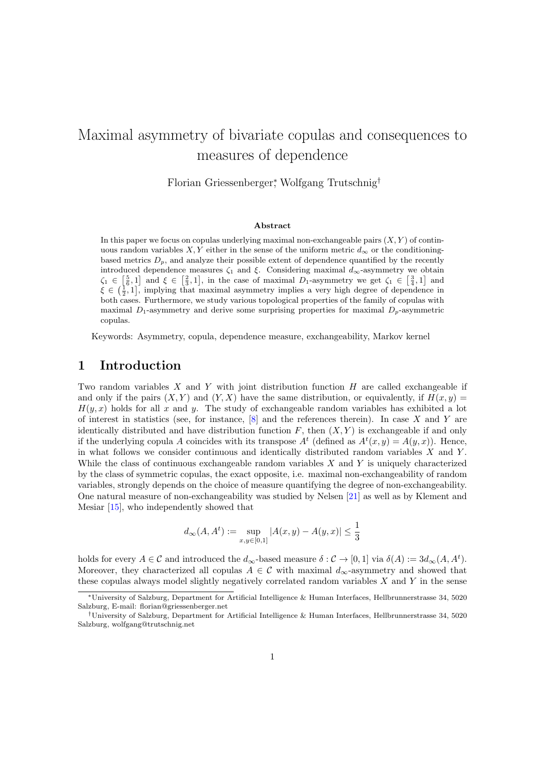# Maximal asymmetry of bivariate copulas and consequences to measures of dependence

Florian Griessenberger<sup>∗</sup> , Wolfgang Trutschnig†

#### Abstract

In this paper we focus on copulas underlying maximal non-exchangeable pairs  $(X, Y)$  of continuous random variables X, Y either in the sense of the uniform metric  $d_{\infty}$  or the conditioningbased metrics  $D_p$ , and analyze their possible extent of dependence quantified by the recently introduced dependence measures  $\zeta_1$  and  $\xi$ . Considering maximal  $d_{\infty}$ -asymmetry we obtain  $\zeta_1 \in \left[\frac{5}{6}, 1\right]$  and  $\xi \in \left[\frac{2}{3}, 1\right]$ , in the case of maximal  $D_1$ -asymmetry we get  $\zeta_1 \in \left[\frac{3}{4}, 1\right]$  and  $\xi \in \left(\frac{1}{2}, 1\right]$ , implying that maximal asymmetry implies a very high degree of dependence in both cases. Furthermore, we study various topological properties of the family of copulas with maximal  $D_1$ -asymmetry and derive some surprising properties for maximal  $D_p$ -asymmetric copulas.

Keywords: Asymmetry, copula, dependence measure, exchangeability, Markov kernel

#### 1 Introduction

Two random variables  $X$  and  $Y$  with joint distribution function  $H$  are called exchangeable if and only if the pairs  $(X, Y)$  and  $(Y, X)$  have the same distribution, or equivalently, if  $H(x, y)$  $H(y, x)$  holds for all x and y. The study of exchangeable random variables has exhibited a lot of interest in statistics (see, for instance,  $[8]$  and the references therein). In case X and Y are identically distributed and have distribution function  $F$ , then  $(X, Y)$  is exchangeable if and only if the underlying copula A coincides with its transpose  $A^t$  (defined as  $A^t(x, y) = A(y, x)$ ). Hence, in what follows we consider continuous and identically distributed random variables  $X$  and  $Y$ . While the class of continuous exchangeable random variables  $X$  and  $Y$  is uniquely characterized by the class of symmetric copulas, the exact opposite, i.e. maximal non-exchangeability of random variables, strongly depends on the choice of measure quantifying the degree of non-exchangeability. One natural measure of non-exchangeability was studied by Nelsen [\[21\]](#page-25-1) as well as by Klement and Mesiar [\[15\]](#page-25-2), who independently showed that

$$
d_{\infty}(A, A^t) := \sup_{x, y \in [0,1]} |A(x, y) - A(y, x)| \le \frac{1}{3}
$$

holds for every  $A \in \mathcal{C}$  and introduced the  $d_{\infty}$ -based measure  $\delta : \mathcal{C} \to [0,1]$  via  $\delta(A) := 3d_{\infty}(A, A^t)$ . Moreover, they characterized all copulas  $A \in \mathcal{C}$  with maximal  $d_{\infty}$ -asymmetry and showed that these copulas always model slightly negatively correlated random variables  $X$  and  $Y$  in the sense

<sup>∗</sup>University of Salzburg, Department for Artificial Intelligence & Human Interfaces, Hellbrunnerstrasse 34, 5020 Salzburg, E-mail: florian@griessenberger.net

<sup>†</sup>University of Salzburg, Department for Artificial Intelligence & Human Interfaces, Hellbrunnerstrasse 34, 5020 Salzburg, wolfgang@trutschnig.net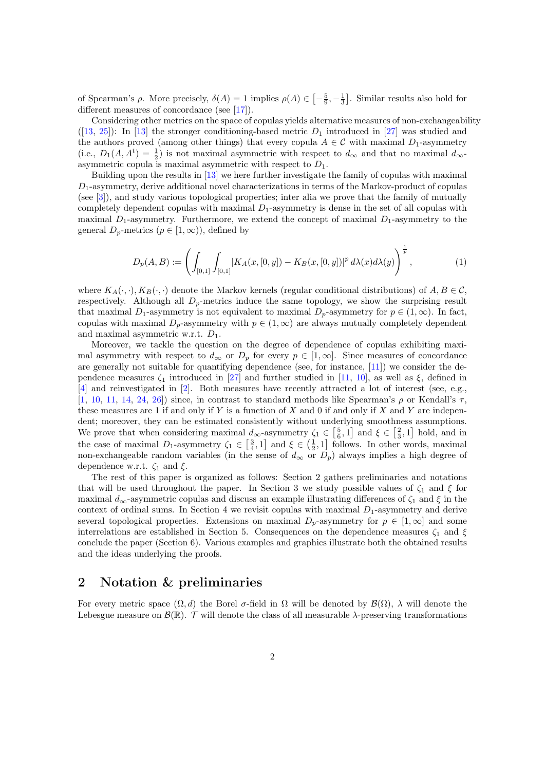of Spearman's  $\rho$ . More precisely,  $\delta(A) = 1$  implies  $\rho(A) \in \left[-\frac{5}{9}, -\frac{1}{3}\right]$ . Similar results also hold for different measures of concordance (see [\[17\]](#page-25-3)).

Considering other metrics on the space of copulas yields alternative measures of non-exchangeability  $([13, 25])$  $([13, 25])$  $([13, 25])$  $([13, 25])$  $([13, 25])$ : In [\[13\]](#page-25-4) the stronger conditioning-based metric  $D_1$  introduced in [\[27\]](#page-26-1) was studied and the authors proved (among other things) that every copula  $A \in \mathcal{C}$  with maximal  $D_1$ -asymmetry (i.e.,  $D_1(A, A^t) = \frac{1}{2}$ ) is not maximal asymmetric with respect to  $d_{\infty}$  and that no maximal  $d_{\infty}$ asymmetric copula is maximal asymmetric with respect to  $D_1$ .

Building upon the results in [\[13\]](#page-25-4) we here further investigate the family of copulas with maximal  $D_1$ -asymmetry, derive additional novel characterizations in terms of the Markov-product of copulas (see [\[3\]](#page-24-0)), and study various topological properties; inter alia we prove that the family of mutually completely dependent copulas with maximal  $D_1$ -asymmetry is dense in the set of all copulas with maximal  $D_1$ -asymmetry. Furthermore, we extend the concept of maximal  $D_1$ -asymmetry to the general  $D_p$ -metrics  $(p \in [1,\infty))$ , defined by

$$
D_p(A, B) := \left( \int_{[0,1]} \int_{[0,1]} |K_A(x, [0, y]) - K_B(x, [0, y])|^p d\lambda(x) d\lambda(y) \right)^{\frac{1}{p}}, \tag{1}
$$

where  $K_A(\cdot, \cdot), K_B(\cdot, \cdot)$  denote the Markov kernels (regular conditional distributions) of  $A, B \in \mathcal{C}$ , respectively. Although all  $D_p$ -metrics induce the same topology, we show the surprising result that maximal D<sub>1</sub>-asymmetry is not equivalent to maximal D<sub>p</sub>-asymmetry for  $p \in (1,\infty)$ . In fact, copulas with maximal  $D_p$ -asymmetry with  $p \in (1,\infty)$  are always mutually completely dependent and maximal asymmetric w.r.t.  $D_1$ .

Moreover, we tackle the question on the degree of dependence of copulas exhibiting maximal asymmetry with respect to  $d_{\infty}$  or  $D_p$  for every  $p \in [1, \infty]$ . Since measures of concordance are generally not suitable for quantifying dependence (see, for instance, [\[11\]](#page-25-5)) we consider the dependence measures  $\zeta_1$  introduced in [\[27\]](#page-26-1) and further studied in [\[11,](#page-25-5) [10\]](#page-25-6), as well as  $\xi$ , defined in [\[4\]](#page-24-1) and reinvestigated in [\[2\]](#page-24-2). Both measures have recently attracted a lot of interest (see, e.g., [\[1,](#page-24-3) [10,](#page-25-6) [11,](#page-25-5) [14,](#page-25-7) [24,](#page-26-2) [26\]](#page-26-3)) since, in contrast to standard methods like Spearman's  $\rho$  or Kendall's  $\tau$ . these measures are 1 if and only if Y is a function of X and 0 if and only if X and Y are independent; moreover, they can be estimated consistently without underlying smoothness assumptions. We prove that when considering maximal  $d_{\infty}$ -asymmetry  $\zeta_1 \in \left[\frac{5}{6}, 1\right]$  and  $\xi \in \left[\frac{2}{3}, 1\right]$  hold, and in the case of maximal  $D_1$ -asymmetry  $\zeta_1 \in \left[\frac{3}{4}, 1\right]$  and  $\xi \in \left(\frac{1}{2}, 1\right]$  follows. In other words, maximal non-exchangeable random variables (in the sense of  $d_{\infty}$  or  $D_p$ ) always implies a high degree of dependence w.r.t.  $\zeta_1$  and  $\xi$ .

The rest of this paper is organized as follows: Section 2 gathers preliminaries and notations that will be used throughout the paper. In Section 3 we study possible values of  $\zeta_1$  and  $\xi$  for maximal  $d_{\infty}$ -asymmetric copulas and discuss an example illustrating differences of  $\zeta_1$  and  $\xi$  in the context of ordinal sums. In Section 4 we revisit copulas with maximal  $D_1$ -asymmetry and derive several topological properties. Extensions on maximal  $D_p$ -asymmetry for  $p \in [1,\infty]$  and some interrelations are established in Section 5. Consequences on the dependence measures  $\zeta_1$  and  $\xi$ conclude the paper (Section 6). Various examples and graphics illustrate both the obtained results and the ideas underlying the proofs.

### 2 Notation & preliminaries

For every metric space  $(\Omega, d)$  the Borel  $\sigma$ -field in  $\Omega$  will be denoted by  $\mathcal{B}(\Omega)$ ,  $\lambda$  will denote the Lebesgue measure on  $\mathcal{B}(\mathbb{R})$ . T will denote the class of all measurable  $\lambda$ -preserving transformations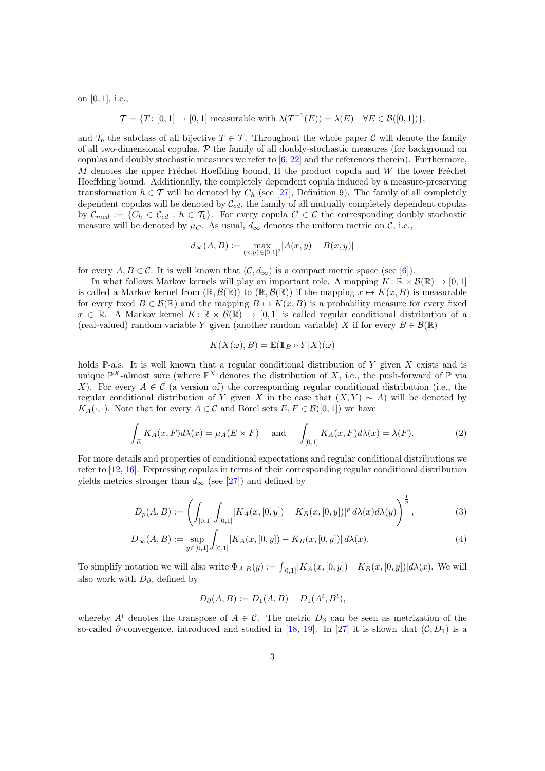on [0, 1], i.e.,

 $\mathcal{T} = \{T: [0, 1] \to [0, 1] \text{ measurable with } \lambda(T^{-1}(E)) = \lambda(E) \quad \forall E \in \mathcal{B}([0, 1])\},\$ 

and  $\mathcal{T}_b$  the subclass of all bijective  $T \in \mathcal{T}$ . Throughout the whole paper C will denote the family of all two-dimensional copulas,  $P$  the family of all doubly-stochastic measures (for background on copulas and doubly stochastic measures we refer to  $[6, 22]$  $[6, 22]$  $[6, 22]$  and the references therein). Furthermore, M denotes the upper Fréchet Hoeffding bound,  $\Pi$  the product copula and W the lower Fréchet Hoeffding bound. Additionally, the completely dependent copula induced by a measure-preserving transformation  $h \in \mathcal{T}$  will be denoted by  $C_h$  (see [\[27\]](#page-26-1), Definition 9). The family of all completely dependent copulas will be denoted by  $\mathcal{C}_{cd}$ , the family of all mutually completely dependent copulas by  $\mathcal{C}_{med} := \{C_h \in \mathcal{C}_{cd} : h \in \mathcal{T}_b\}$ . For every copula  $C \in \mathcal{C}$  the corresponding doubly stochastic measure will be denoted by  $\mu_C$ . As usual,  $d_{\infty}$  denotes the uniform metric on C, i.e.,

$$
d_{\infty}(A, B) := \max_{(x, y) \in [0, 1]^2} |A(x, y) - B(x, y)|
$$

for every  $A, B \in \mathcal{C}$ . It is well known that  $(\mathcal{C}, d_{\infty})$  is a compact metric space (see [\[6\]](#page-25-8)).

In what follows Markov kernels will play an important role. A mapping  $K: \mathbb{R} \times \mathcal{B}(\mathbb{R}) \to [0, 1]$ is called a Markov kernel from  $(\mathbb{R}, \mathcal{B}(\mathbb{R}))$  to  $(\mathbb{R}, \mathcal{B}(\mathbb{R}))$  if the mapping  $x \mapsto K(x, B)$  is measurable for every fixed  $B \in \mathcal{B}(\mathbb{R})$  and the mapping  $B \mapsto K(x, B)$  is a probability measure for every fixed  $x \in \mathbb{R}$ . A Markov kernel  $K: \mathbb{R} \times \mathcal{B}(\mathbb{R}) \to [0,1]$  is called regular conditional distribution of a (real-valued) random variable Y given (another random variable) X if for every  $B \in \mathcal{B}(\mathbb{R})$ 

<span id="page-2-0"></span>
$$
K(X(\omega), B) = \mathbb{E}(\mathbb{1}_B \circ Y | X)(\omega)
$$

holds P-a.s. It is well known that a regular conditional distribution of Y given X exists and is unique  $\mathbb{P}^{X}$ -almost sure (where  $\mathbb{P}^{X}$  denotes the distribution of X, i.e., the push-forward of  $\mathbb{P}$  via X). For every  $A \in \mathcal{C}$  (a version of) the corresponding regular conditional distribution (i.e., the regular conditional distribution of Y given X in the case that  $(X, Y) \sim A$ ) will be denoted by  $K_A(\cdot, \cdot)$ . Note that for every  $A \in \mathcal{C}$  and Borel sets  $E, F \in \mathcal{B}([0,1])$  we have

$$
\int_{E} K_{A}(x, F) d\lambda(x) = \mu_{A}(E \times F) \quad \text{and} \quad \int_{[0,1]} K_{A}(x, F) d\lambda(x) = \lambda(F). \tag{2}
$$

For more details and properties of conditional expectations and regular conditional distributions we refer to [\[12,](#page-25-10) [16\]](#page-25-11). Expressing copulas in terms of their corresponding regular conditional distribution yields metrics stronger than  $d_{\infty}$  (see [\[27\]](#page-26-1)) and defined by

$$
D_p(A, B) := \left( \int_{[0,1]} \int_{[0,1]} |K_A(x, [0, y]) - K_B(x, [0, y])|^p d\lambda(x) d\lambda(y) \right)^{\frac{1}{p}}, \tag{3}
$$

$$
D_{\infty}(A, B) := \sup_{y \in [0, 1]} \int_{[0, 1]} |K_A(x, [0, y]) - K_B(x, [0, y])| d\lambda(x).
$$
 (4)

To simplify notation we will also write  $\Phi_{A,B}(y) := \int_{[0,1]} |K_A(x,[0,y]) - K_B(x,[0,y])| d\lambda(x)$ . We will also work with  $D_{\partial}$ , defined by

$$
D_{\partial}(A, B) := D_1(A, B) + D_1(A^t, B^t),
$$

whereby  $A<sup>t</sup>$  denotes the transpose of  $A \in \mathcal{C}$ . The metric  $D_{\partial}$  can be seen as metrization of the so-called  $\partial$ -convergence, introduced and studied in [\[18,](#page-25-12) [19\]](#page-25-13). In [\[27\]](#page-26-1) it is shown that  $(C, D_1)$  is a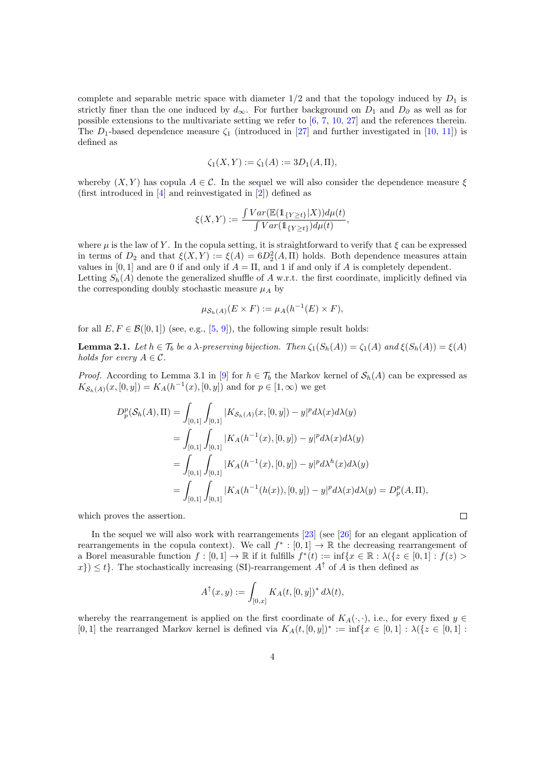complete and separable metric space with diameter  $1/2$  and that the topology induced by  $D_1$  is strictly finer than the one induced by  $d_{\infty}$ . For further background on  $D_1$  and  $D_{\partial}$  as well as for possible extensions to the multivariate setting we refer to  $[6, 7, 10, 27]$  $[6, 7, 10, 27]$  $[6, 7, 10, 27]$  $[6, 7, 10, 27]$  $[6, 7, 10, 27]$  $[6, 7, 10, 27]$  $[6, 7, 10, 27]$  and the references therein. The  $D_1$ -based dependence measure  $\zeta_1$  (introduced in [\[27\]](#page-26-1) and further investigated in [\[10,](#page-25-6) [11\]](#page-25-5)) is defined as

$$
\zeta_1(X, Y) := \zeta_1(A) := 3D_1(A, \Pi),
$$

whereby  $(X, Y)$  has copula  $A \in \mathcal{C}$ . In the sequel we will also consider the dependence measure  $\xi$ (first introduced in [\[4\]](#page-24-1) and reinvestigated in [\[2\]](#page-24-2)) defined as

$$
\xi(X,Y) := \frac{\int Var(\mathbb{E}(\mathbb{1}_{\{Y \ge t\}} | X)) d\mu(t)}{\int Var(\mathbb{1}_{\{Y \ge t\}}) d\mu(t)},
$$

where  $\mu$  is the law of Y. In the copula setting, it is straightforward to verify that  $\xi$  can be expressed in terms of  $D_2$  and that  $\xi(X,Y) := \xi(A) = 6D_2^2(A,\Pi)$  holds. Both dependence measures attain values in [0, 1] and are 0 if and only if  $A = \Pi$ , and 1 if and only if A is completely dependent. Letting  $S_h(A)$  denote the generalized shuffle of A w.r.t. the first coordinate, implicitly defined via the corresponding doubly stochastic measure  $\mu_A$  by

$$
\mu_{\mathcal{S}_h(A)}(E \times F) := \mu_A(h^{-1}(E) \times F),
$$

for all  $E, F \in \mathcal{B}([0,1])$  (see, e.g., [\[5,](#page-24-4) [9\]](#page-25-15)), the following simple result holds:

<span id="page-3-0"></span>**Lemma 2.1.** Let  $h \in \mathcal{T}_b$  be a  $\lambda$ -preserving bijection. Then  $\zeta_1(S_h(A)) = \zeta_1(A)$  and  $\xi(S_h(A)) = \xi(A)$ holds for every  $A \in \mathcal{C}$ .

*Proof.* According to Lemma 3.1 in [\[9\]](#page-25-15) for  $h \in \mathcal{T}_b$  the Markov kernel of  $\mathcal{S}_h(A)$  can be expressed as  $K_{\mathcal{S}_h(A)}(x,[0,y]) = K_A(h^{-1}(x),[0,y])$  and for  $p \in [1,\infty)$  we get

$$
D_p^p(\mathcal{S}_h(A), \Pi) = \int_{[0,1]} \int_{[0,1]} |K_{\mathcal{S}_h(A)}(x, [0, y]) - y|^p d\lambda(x) d\lambda(y)
$$
  
= 
$$
\int_{[0,1]} \int_{[0,1]} |K_A(h^{-1}(x), [0, y]) - y|^p d\lambda(x) d\lambda(y)
$$
  
= 
$$
\int_{[0,1]} \int_{[0,1]} |K_A(h^{-1}(x), [0, y]) - y|^p d\lambda^h(x) d\lambda(y)
$$
  
= 
$$
\int_{[0,1]} \int_{[0,1]} |K_A(h^{-1}(h(x)), [0, y]) - y|^p d\lambda(x) d\lambda(y) = D_p^p(A, \Pi),
$$

which proves the assertion.

In the sequel we will also work with rearrangements [\[23\]](#page-26-4) (see [\[26\]](#page-26-3) for an elegant application of rearrangements in the copula context). We call  $f^* : [0,1] \to \mathbb{R}$  the decreasing rearrangement of a Borel measurable function  $f:[0,1] \to \mathbb{R}$  if it fulfills  $f^*(t) := \inf\{x \in \mathbb{R} : \lambda(\{z \in [0,1] : f(z) >$  $x\$  < t. The stochastically increasing (SI)-rearrangement  $A^{\uparrow}$  of A is then defined as

 $\Box$ 

$$
A^\uparrow(x,y):=\int_{[0,x]}K_A(t,[0,y])^*\,d\lambda(t),
$$

whereby the rearrangement is applied on the first coordinate of  $K_A(\cdot, \cdot)$ , i.e., for every fixed  $y \in$ [0, 1] the rearranged Markov kernel is defined via  $K_A(t, [0, y])^* := \inf\{x \in [0, 1] : \lambda(\{z \in [0, 1] : z \in [0, 1]\})$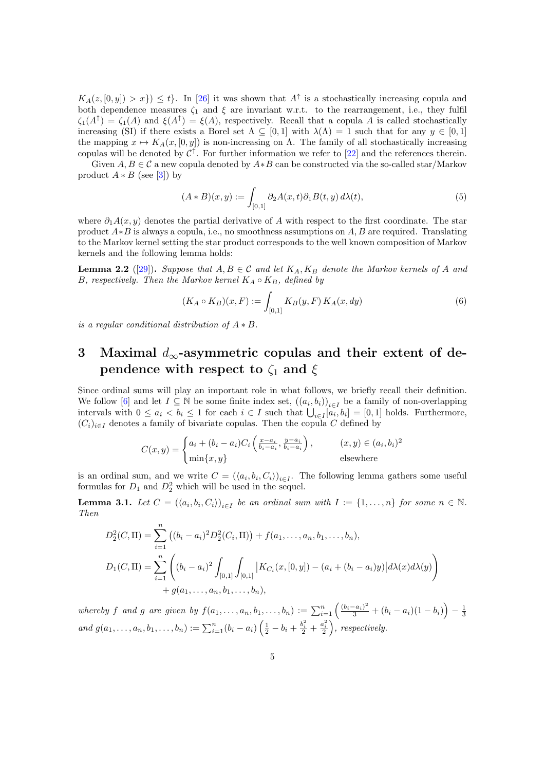$K_A(z, [0, y]) > x$ )  $\leq t$ . In [\[26\]](#page-26-3) it was shown that  $A^{\uparrow}$  is a stochastically increasing copula and both dependence measures  $\zeta_1$  and  $\xi$  are invariant w.r.t. to the rearrangement, i.e., they fulfil  $\zeta_1(A^{\uparrow}) = \zeta_1(A)$  and  $\xi(A^{\uparrow}) = \xi(A)$ , respectively. Recall that a copula A is called stochastically increasing (SI) if there exists a Borel set  $\Lambda \subseteq [0,1]$  with  $\lambda(\Lambda) = 1$  such that for any  $y \in [0,1]$ the mapping  $x \mapsto K_A(x, [0, y])$  is non-increasing on  $\Lambda$ . The family of all stochastically increasing copulas will be denoted by  $\mathcal{C}^{\uparrow}$ . For further information we refer to [\[22\]](#page-25-9) and the references therein.

Given  $A, B \in \mathcal{C}$  a new copula denoted by  $A * B$  can be constructed via the so-called star/Markov product  $A * B$  (see [\[3\]](#page-24-0)) by

<span id="page-4-2"></span>
$$
(A * B)(x, y) := \int_{[0,1]} \partial_2 A(x, t) \partial_1 B(t, y) d\lambda(t), \tag{5}
$$

where  $\partial_1 A(x, y)$  denotes the partial derivative of A with respect to the first coordinate. The star product  $A*B$  is always a copula, i.e., no smoothness assumptions on  $A, B$  are required. Translating to the Markov kernel setting the star product corresponds to the well known composition of Markov kernels and the following lemma holds:

<span id="page-4-1"></span>**Lemma 2.2** ([\[29\]](#page-26-5)). Suppose that  $A, B \in \mathcal{C}$  and let  $K_A, K_B$  denote the Markov kernels of A and B, respectively. Then the Markov kernel  $K_A \circ K_B$ , defined by

$$
(K_A \circ K_B)(x, F) := \int_{[0,1]} K_B(y, F) K_A(x, dy)
$$
 (6)

is a regular conditional distribution of  $A * B$ .

### <span id="page-4-3"></span>3 Maximal  $d_{\infty}$ -asymmetric copulas and their extent of dependence with respect to  $\zeta_1$  and  $\xi$

Since ordinal sums will play an important role in what follows, we briefly recall their definition. We follow [\[6\]](#page-25-8) and let  $I \subseteq \mathbb{N}$  be some finite index set,  $((a_i, b_i))_{i \in I}$  be a family of non-overlapping intervals with  $0 \le a_i < b_i \le 1$  for each  $i \in I$  such that  $\bigcup_{i \in I} [a_i, b_i] = [0, 1]$  holds. Furthermore,  $(C_i)_{i\in I}$  denotes a family of bivariate copulas. Then the copula C defined by

$$
C(x,y) = \begin{cases} a_i + (b_i - a_i)C_i \left( \frac{x - a_i}{b_i - a_i}, \frac{y - a_i}{b_i - a_i} \right), & (x,y) \in (a_i, b_i)^2\\ \min\{x, y\} & \text{elsewhere} \end{cases}
$$

is an ordinal sum, and we write  $C = (\langle a_i, b_i, C_i \rangle)_{i \in I}$ . The following lemma gathers some useful formulas for  $D_1$  and  $D_2^2$  which will be used in the sequel.

<span id="page-4-0"></span>**Lemma 3.1.** Let  $C = (\langle a_i, b_i, C_i \rangle)_{i \in I}$  be an ordinal sum with  $I := \{1, ..., n\}$  for some  $n \in \mathbb{N}$ . Then

$$
D_2^2(C,\Pi) = \sum_{i=1}^n ((b_i - a_i)^2 D_2^2(C_i, \Pi)) + f(a_1, ..., a_n, b_1, ..., b_n),
$$
  
\n
$$
D_1(C,\Pi) = \sum_{i=1}^n \left( (b_i - a_i)^2 \int_{[0,1]} \int_{[0,1]} |K_{C_i}(x,[0,y]) - (a_i + (b_i - a_i)y)| d\lambda(x) d\lambda(y) \right) + g(a_1, ..., a_n, b_1, ..., b_n),
$$

whereby f and g are given by  $f(a_1, ..., a_n, b_1, ..., b_n) := \sum_{i=1}^n \left( \frac{(b_i - a_i)^2}{3} + (b_i - a_i)(1 - b_i) \right) - \frac{1}{3}$ and  $g(a_1, ..., a_n, b_1, ..., b_n) := \sum_{i=1}^n (b_i - a_i) \left( \frac{1}{2} - b_i + \frac{b_i^2}{2} + \frac{a_i^2}{2} \right)$ , respectively.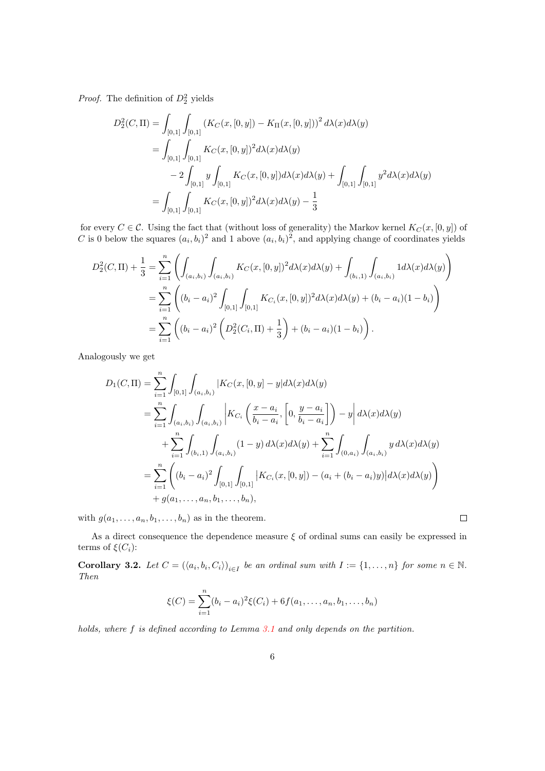*Proof.* The definition of  $D_2^2$  yields

$$
D_2^2(C,\Pi) = \int_{[0,1]} \int_{[0,1]} (K_C(x,[0,y]) - K_{\Pi}(x,[0,y]))^2 d\lambda(x) d\lambda(y)
$$
  
= 
$$
\int_{[0,1]} \int_{[0,1]} K_C(x,[0,y])^2 d\lambda(x) d\lambda(y)
$$
  

$$
- 2 \int_{[0,1]} y \int_{[0,1]} K_C(x,[0,y]) d\lambda(x) d\lambda(y) + \int_{[0,1]} \int_{[0,1]} y^2 d\lambda(x) d\lambda(y)
$$
  
= 
$$
\int_{[0,1]} \int_{[0,1]} K_C(x,[0,y])^2 d\lambda(x) d\lambda(y) - \frac{1}{3}
$$

for every  $C \in \mathcal{C}$ . Using the fact that (without loss of generality) the Markov kernel  $K_C(x, [0, y])$  of C is 0 below the squares  $(a_i, b_i)^2$  and 1 above  $(a_i, b_i)^2$ , and applying change of coordinates yields

$$
D_2^2(C,\Pi) + \frac{1}{3} = \sum_{i=1}^n \left( \int_{(a_i, b_i)} \int_{(a_i, b_i)} K_C(x, [0, y])^2 d\lambda(x) d\lambda(y) + \int_{(b_i, 1)} \int_{(a_i, b_i)} 1 d\lambda(x) d\lambda(y) \right)
$$
  
= 
$$
\sum_{i=1}^n \left( (b_i - a_i)^2 \int_{[0, 1]} \int_{[0, 1]} K_{C_i}(x, [0, y])^2 d\lambda(x) d\lambda(y) + (b_i - a_i)(1 - b_i) \right)
$$
  
= 
$$
\sum_{i=1}^n \left( (b_i - a_i)^2 \left( D_2^2(C_i, \Pi) + \frac{1}{3} \right) + (b_i - a_i)(1 - b_i) \right).
$$

Analogously we get

$$
D_1(C, \Pi) = \sum_{i=1}^n \int_{[0,1]} \int_{(a_i, b_i)} |K_C(x, [0, y] - y| d\lambda(x) d\lambda(y)|
$$
  
\n
$$
= \sum_{i=1}^n \int_{(a_i, b_i)} \int_{(a_i, b_i)} |K_{C_i}(\frac{x - a_i}{b_i - a_i}, [0, \frac{y - a_i}{b_i - a_i}]) - y| d\lambda(x) d\lambda(y)|
$$
  
\n
$$
+ \sum_{i=1}^n \int_{(b_i, 1)} \int_{(a_i, b_i)} (1 - y) d\lambda(x) d\lambda(y) + \sum_{i=1}^n \int_{(0, a_i)} \int_{(a_i, b_i)} y d\lambda(x) d\lambda(y)|
$$
  
\n
$$
= \sum_{i=1}^n ((b_i - a_i)^2 \int_{[0, 1]} \int_{[0, 1]} |K_{C_i}(x, [0, y]) - (a_i + (b_i - a_i)y)| d\lambda(x) d\lambda(y))
$$
  
\n
$$
+ g(a_1, \dots, a_n, b_1, \dots, b_n),
$$

with  $g(a_1, \ldots, a_n, b_1, \ldots, b_n)$  as in the theorem.

As a direct consequence the dependence measure  $\xi$  of ordinal sums can easily be expressed in terms of  $\xi(C_i)$ :

 $\Box$ 

<span id="page-5-0"></span>**Corollary 3.2.** Let  $C = (\langle a_i, b_i, C_i \rangle)_{i \in I}$  be an ordinal sum with  $I := \{1, ..., n\}$  for some  $n \in \mathbb{N}$ . Then

$$
\xi(C) = \sum_{i=1}^{n} (b_i - a_i)^2 \xi(C_i) + 6f(a_1, \dots, a_n, b_1, \dots, b_n)
$$

holds, where f is defined according to Lemma [3.1](#page-4-0) and only depends on the partition.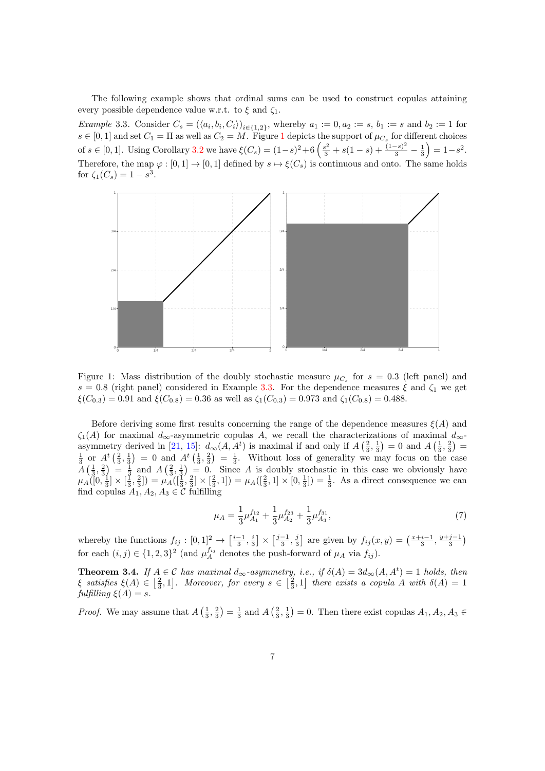The following example shows that ordinal sums can be used to construct copulas attaining every possible dependence value w.r.t. to  $\xi$  and  $\zeta_1$ .

<span id="page-6-1"></span>*Example* 3.3. Consider  $C_s = (\langle a_i, b_i, C_i \rangle)_{i \in \{1,2\}}$ , whereby  $a_1 := 0, a_2 := s, b_1 := s$  and  $b_2 := 1$  for  $s \in [0,1]$  $s \in [0,1]$  $s \in [0,1]$  and set  $C_1 = \Pi$  as well as  $C_2 = M$ . Figure 1 depicts the support of  $\mu_{C_s}$  for different choices of  $s \in [0,1]$ . Using Corollary [3.2](#page-5-0) we have  $\xi(C_s) = (1-s)^2 + 6\left(\frac{s^2}{3} + s(1-s) + \frac{(1-s)^2}{3} - \frac{1}{3}\right) = 1-s^2$ . Therefore, the map  $\varphi : [0,1] \to [0,1]$  defined by  $s \mapsto \xi(C_s)$  is continuous and onto. The same holds for  $\zeta_1(C_s) = 1 - s^3$ .



<span id="page-6-0"></span>Figure 1: Mass distribution of the doubly stochastic measure  $\mu_{C_s}$  for  $s = 0.3$  (left panel) and s = 0.8 (right panel) considered in Example [3.3.](#page-6-1) For the dependence measures  $\xi$  and  $\zeta_1$  we get  $\xi(C_{0.3}) = 0.91$  and  $\xi(C_{0.8}) = 0.36$  as well as  $\zeta_1(C_{0.3}) = 0.973$  and  $\zeta_1(C_{0.8}) = 0.488$ .

Before deriving some first results concerning the range of the dependence measures  $\xi(A)$  and  $\zeta_1(A)$  for maximal  $d_{\infty}$ -asymmetric copulas A, we recall the characterizations of maximal  $d_{\infty}$ -asymmetry derived in [\[21,](#page-25-1) [15\]](#page-25-2):  $d_{\infty}(A, A^t)$  is maximal if and only if  $A\left(\frac{2}{3}, \frac{1}{3}\right) = 0$  and  $A\left(\frac{1}{3}, \frac{2}{3}\right) =$  $\frac{1}{3}$  or  $A^t(\frac{2}{3},\frac{1}{3}) = 0$  and  $A^t(\frac{1}{3},\frac{2}{3}) = \frac{1}{3}$ . Without loss of generality we may focus on the case  $A\left(\frac{1}{3},\frac{2}{3}\right) = \frac{1}{3}$  and  $A\left(\frac{2}{3},\frac{1}{3}\right) = 0$ . Since A is doubly stochastic in this case we obviously have  $\mu_A([0, \frac{1}{3}] \times [\frac{1}{3}, \frac{2}{3}]) = \mu_A([\frac{1}{3}, \frac{2}{3}] \times [\frac{2}{3}, 1]) = \mu_A([\frac{2}{3}, 1] \times [0, \frac{1}{3}]) = \frac{1}{3}$ . As a direct consequence we can find copulas  $A_1, A_2, A_3 \in \mathcal{C}$  fulfilling

<span id="page-6-3"></span>
$$
\mu_A = \frac{1}{3}\mu_{A_1}^{f_{12}} + \frac{1}{3}\mu_{A_2}^{f_{23}} + \frac{1}{3}\mu_{A_3}^{f_{31}},\tag{7}
$$

whereby the functions  $f_{ij} : [0,1]^2 \rightarrow \left[\frac{i-1}{3},\frac{i}{3}\right] \times \left[\frac{j-1}{3},\frac{j}{3}\right]$  are given by  $f_{ij}(x,y) = \left(\frac{x+i-1}{3},\frac{y+j-1}{3}\right)$ for each  $(i, j) \in \{1, 2, 3\}^2$  (and  $\mu_A^{f_{ij}}$  denotes the push-forward of  $\mu_A$  via  $f_{ij}$ ).

<span id="page-6-2"></span>**Theorem 3.4.** If  $A \in \mathcal{C}$  has maximal  $d_{\infty}$ -asymmetry, i.e., if  $\delta(A) = 3d_{\infty}(A, A^t) = 1$  holds, then  $\xi$  satisfies  $\xi(A) \in \left[\frac{2}{3}, 1\right]$ . Moreover, for every  $s \in \left[\frac{2}{3}, 1\right]$  there exists a copula A with  $\delta(A) = 1$ fulfilling  $\xi(A) = s$ .

*Proof.* We may assume that  $A\left(\frac{1}{3},\frac{2}{3}\right)=\frac{1}{3}$  and  $A\left(\frac{2}{3},\frac{1}{3}\right)=0$ . Then there exist copulas  $A_1, A_2, A_3 \in$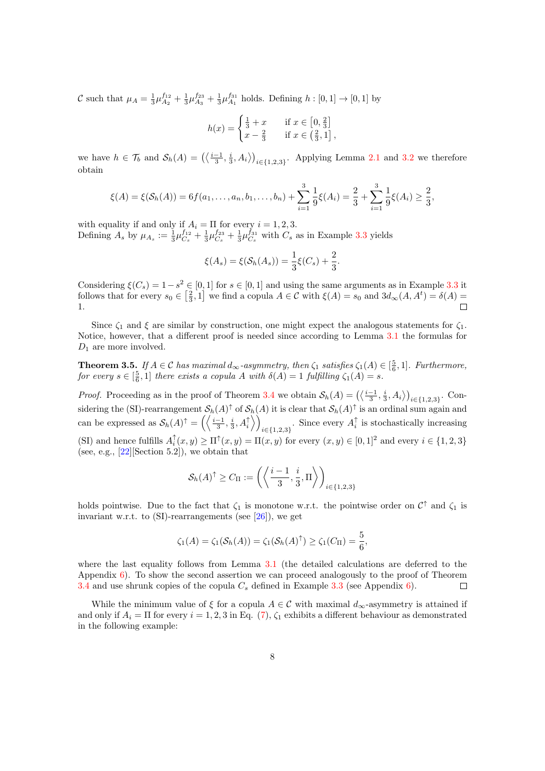C such that  $\mu_A = \frac{1}{3}\mu_{A_2}^{f_{12}} + \frac{1}{3}\mu_{A_3}^{f_{23}} + \frac{1}{3}\mu_{A_1}^{f_{31}}$  holds. Defining  $h : [0, 1] \to [0, 1]$  by

$$
h(x) = \begin{cases} \frac{1}{3} + x & \text{if } x \in [0, \frac{2}{3}] \\ x - \frac{2}{3} & \text{if } x \in (\frac{2}{3}, 1] \end{cases}
$$

we have  $h \in \mathcal{T}_b$  and  $\mathcal{S}_h(A) = \left( \left\langle \frac{i-1}{3}, \frac{i}{3}, A_i \right\rangle \right)_{i \in \{1,2,3\}}$ . Applying Lemma [2.1](#page-3-0) and [3.2](#page-5-0) we therefore obtain

$$
\xi(A) = \xi(\mathcal{S}_h(A)) = 6f(a_1, \dots, a_n, b_1, \dots, b_n) + \sum_{i=1}^3 \frac{1}{9} \xi(A_i) = \frac{2}{3} + \sum_{i=1}^3 \frac{1}{9} \xi(A_i) \ge \frac{2}{3},
$$

with equality if and only if  $A_i = \Pi$  for every  $i = 1, 2, 3$ . Defining  $A_s$  by  $\mu_{A_s} := \frac{1}{3} \mu_{C_s}^{f_{12}} + \frac{1}{3} \mu_{C_s}^{f_{23}} + \frac{1}{3} \mu_{C_s}^{f_{31}}$  with  $C_s$  as in Example [3.3](#page-6-1) yields

$$
\xi(A_s) = \xi(\mathcal{S}_h(A_s)) = \frac{1}{3}\xi(C_s) + \frac{2}{3}.
$$

Considering  $\xi(C_s) = 1 - s^2 \in [0, 1]$  for  $s \in [0, 1]$  and using the same arguments as in Example [3.3](#page-6-1) it follows that for every  $s_0 \in \left[\frac{2}{3}, 1\right]$  we find a copula  $A \in \mathcal{C}$  with  $\xi(A) = s_0$  and  $3d_{\infty}(A, A^t) = \delta(A) =$ 1.  $\Box$ 

Since  $\zeta_1$  and  $\xi$  are similar by construction, one might expect the analogous statements for  $\zeta_1$ . Notice, however, that a different proof is needed since according to Lemma [3.1](#page-4-0) the formulas for  $D_1$  are more involved.

<span id="page-7-0"></span>**Theorem 3.5.** If  $A \in \mathcal{C}$  has maximal  $d_{\infty}$ -asymmetry, then  $\zeta_1$  satisfies  $\zeta_1(A) \in \left[\frac{5}{6}, 1\right]$ . Furthermore, for every  $s \in \left[\frac{5}{6}, 1\right]$  there exists a copula A with  $\delta(A) = 1$  fulfilling  $\zeta_1(A) = s$ .

*Proof.* Proceeding as in the proof of Theorem [3.4](#page-6-2) we obtain  $S_h(A) = (\langle \frac{i-1}{3}, \frac{i}{3}, A_i \rangle)_{i \in \{1,2,3\}}$ . Considering the (SI)-rearrangement  $\mathcal{S}_h(A)$ <sup> $\uparrow$ </sup> of  $\mathcal{S}_h(A)$  it is clear that  $\mathcal{S}_h(A)$ <sup> $\uparrow$ </sup> is an ordinal sum again and can be expressed as  $\mathcal{S}_h(A)^\dagger = \left( \left\langle \frac{i-1}{3}, \frac{i}{3}, A_i^\dagger \right\rangle \right)$  $\sum_{i\in\{1,2,3\}}$ . Since every  $A_i^{\uparrow}$  is stochastically increasing (SI) and hence fulfills  $A_i^{\uparrow}(x, y) \ge \Pi^{\uparrow}(x, y) = \Pi(x, y)$  for every  $(x, y) \in [0, 1]^2$  and every  $i \in \{1, 2, 3\}$ (see, e.g.,  $[22]$ [Section 5.2]), we obtain that

$$
\mathcal{S}_h(A)^{\uparrow} \ge C_{\Pi} := \left( \left\langle \frac{i-1}{3}, \frac{i}{3}, \Pi \right\rangle \right)_{i \in \{1, 2, 3\}}
$$

holds pointwise. Due to the fact that  $\zeta_1$  is monotone w.r.t. the pointwise order on  $\mathcal{C}^{\uparrow}$  and  $\zeta_1$  is invariant w.r.t. to  $(SI)$ -rearrangements (see [\[26\]](#page-26-3)), we get

$$
\zeta_1(A) = \zeta_1(\mathcal{S}_h(A)) = \zeta_1(\mathcal{S}_h(A)^{\uparrow}) \ge \zeta_1(C_{\Pi}) = \frac{5}{6},
$$

where the last equality follows from Lemma [3.1](#page-4-0) (the detailed calculations are deferred to the Appendix  $6$ ). To show the second assertion we can proceed analogously to the proof of Theorem [3.4](#page-6-2) and use shrunk copies of the copula  $C_s$  defined in Example [3.3](#page-6-1) (see Appendix [6\)](#page-22-0).  $\Box$ 

While the minimum value of  $\xi$  for a copula  $A \in \mathcal{C}$  with maximal  $d_{\infty}$ -asymmetry is attained if and only if  $A_i = \Pi$  for every  $i = 1, 2, 3$  in Eq. [\(7\)](#page-6-3),  $\zeta_1$  exhibits a different behaviour as demonstrated in the following example: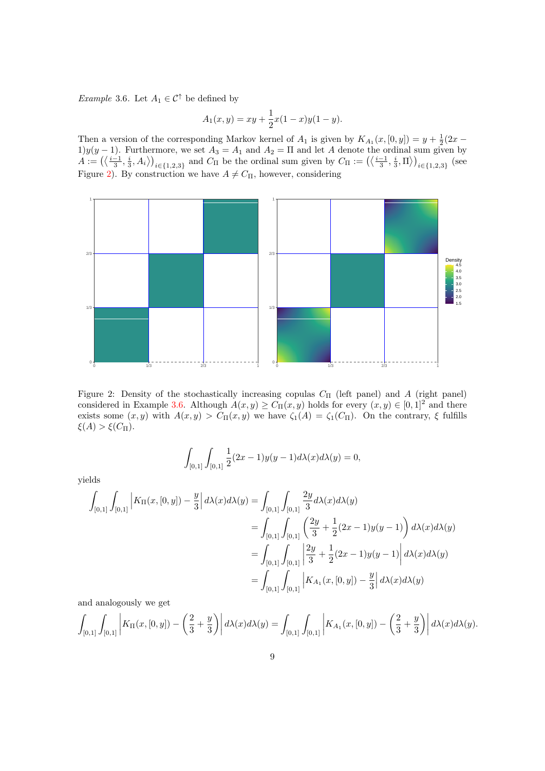<span id="page-8-1"></span>*Example* 3.6. Let  $A_1 \in \mathcal{C}^{\uparrow}$  be defined by

$$
A_1(x, y) = xy + \frac{1}{2}x(1-x)y(1-y).
$$

Then a version of the corresponding Markov kernel of  $A_1$  is given by  $K_{A_1}(x,[0,y]) = y + \frac{1}{2}(2x -$ 1)y(y − 1). Furthermore, we set  $A_3 = A_1$  and  $A_2 = \Pi$  and let A denote the ordinal sum given by  $y(x_1, y_1, y_2, \ldots, y_n)$  $A := \left( \left\langle \frac{i-1}{3}, \frac{i}{3}, A_i \right\rangle \right)_{i \in \{1,2,3\}}$  and  $C_{\Pi}$  be the ordinal sum given by  $C_{\Pi} := \left( \left\langle \frac{i-1}{3}, \frac{i}{3}, \Pi \right\rangle \right)_{i \in \{1,2,3\}}$  (see Figure [2\)](#page-8-0). By construction we have  $A \neq C_{\Pi}$ , however, considering



<span id="page-8-0"></span>Figure 2: Density of the stochastically increasing copulas  $C_{II}$  (left panel) and A (right panel) considered in Example [3.6.](#page-8-1) Although  $A(x, y) \ge C_{\Pi}(x, y)$  holds for every  $(x, y) \in [0, 1]^2$  and there exists some  $(x, y)$  with  $A(x, y) > C_{\Pi}(x, y)$  we have  $\zeta_1(A) = \zeta_1(C_{\Pi})$ . On the contrary,  $\xi$  fulfills  $\xi(A) > \xi(C_{\Pi}).$ 

$$
\int_{[0,1]} \int_{[0,1]} \frac{1}{2} (2x - 1) y(y - 1) d\lambda(x) d\lambda(y) = 0,
$$

yields

$$
\int_{[0,1]} \int_{[0,1]} \left| K_{\Pi}(x,[0,y]) - \frac{y}{3} \right| d\lambda(x) d\lambda(y) = \int_{[0,1]} \int_{[0,1]} \frac{2y}{3} d\lambda(x) d\lambda(y)
$$
  
\n
$$
= \int_{[0,1]} \int_{[0,1]} \left( \frac{2y}{3} + \frac{1}{2} (2x - 1) y (y - 1) \right) d\lambda(x) d\lambda(y)
$$
  
\n
$$
= \int_{[0,1]} \int_{[0,1]} \left| \frac{2y}{3} + \frac{1}{2} (2x - 1) y (y - 1) \right| d\lambda(x) d\lambda(y)
$$
  
\n
$$
= \int_{[0,1]} \int_{[0,1]} \left| K_{A_1}(x,[0,y]) - \frac{y}{3} \right| d\lambda(x) d\lambda(y)
$$

and analogously we get

$$
\int_{[0,1]} \int_{[0,1]} \left| K_{\Pi}(x,[0,y]) - \left(\frac{2}{3} + \frac{y}{3}\right) \right| d\lambda(x) d\lambda(y) = \int_{[0,1]} \int_{[0,1]} \left| K_{A_1}(x,[0,y]) - \left(\frac{2}{3} + \frac{y}{3}\right) \right| d\lambda(x) d\lambda(y).
$$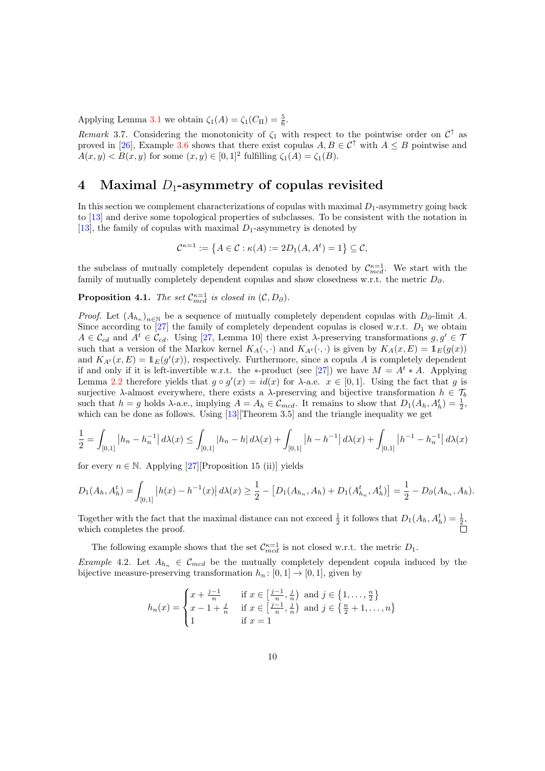Applying Lemma [3.1](#page-4-0) we obtain  $\zeta_1(A) = \zeta_1(C_{\Pi}) = \frac{5}{6}$ .

Remark 3.7. Considering the monotonicity of  $\zeta_1$  with respect to the pointwise order on  $\mathcal{C}^{\uparrow}$  as proved in [\[26\]](#page-26-3), Example [3.6](#page-8-1) shows that there exist copulas  $A, B \in \mathcal{C}^{\uparrow}$  with  $A \leq B$  pointwise and  $A(x, y) < B(x, y)$  for some  $(x, y) \in [0, 1]^2$  fulfilling  $\zeta_1(A) = \zeta_1(B)$ .

#### 4 Maximal  $D_1$ -asymmetry of copulas revisited

In this section we complement characterizations of copulas with maximal  $D_1$ -asymmetry going back to [\[13\]](#page-25-4) and derive some topological properties of subclasses. To be consistent with the notation in [\[13\]](#page-25-4), the family of copulas with maximal  $D_1$ -asymmetry is denoted by

$$
\mathcal{C}^{\kappa=1} := \left\{ A \in \mathcal{C} : \kappa(A) := 2D_1(A, A^t) = 1 \right\} \subseteq \mathcal{C},
$$

the subclass of mutually completely dependent copulas is denoted by  $\mathcal{C}_{med}^{\kappa=1}$ . We start with the family of mutually completely dependent copulas and show closedness w.r.t. the metric  $D_{\partial}$ .

#### **Proposition 4.1.** The set  $\mathcal{C}_{med}^{\kappa=1}$  is closed in  $(\mathcal{C}, D_{\partial})$ .

*Proof.* Let  $(A_{h_n})_{n\in\mathbb{N}}$  be a sequence of mutually completely dependent copulas with  $D_{\partial}$ -limit A. Since according to [\[27\]](#page-26-1) the family of completely dependent copulas is closed w.r.t.  $D_1$  we obtain  $A \in \mathcal{C}_{cd}$  and  $A^t \in \mathcal{C}_{cd}$ . Using [\[27,](#page-26-1) Lemma 10] there exist  $\lambda$ -preserving transformations  $g, g' \in \mathcal{T}$ such that a version of the Markov kernel  $K_A(\cdot, \cdot)$  and  $K_{A^t}(\cdot, \cdot)$  is given by  $K_A(x, E) = \mathbb{1}_E(g(x))$ and  $K_{A^t}(x, E) = \mathbb{1}_E(g'(x))$ , respectively. Furthermore, since a copula A is completely dependent if and only if it is left-invertible w.r.t. the ∗-product (see [\[27\]](#page-26-1)) we have  $M = A^t * A$ . Applying Lemma [2.2](#page-4-1) therefore yields that  $g \circ g'(x) = id(x)$  for  $\lambda$ -a.e.  $x \in [0,1]$ . Using the fact that g is surjective  $\lambda$ -almost everywhere, there exists a  $\lambda$ -preserving and bijective transformation  $h \in \mathcal{T}_b$ such that  $h = g$  holds  $\lambda$ -a.e., implying  $A = A_h \in \mathcal{C}_{med}$ . It remains to show that  $D_1(A_h, A_h^t) = \frac{1}{2}$ , which can be done as follows. Using [\[13\]](#page-25-4)[Theorem 3.5] and the triangle inequality we get

$$
\frac{1}{2} = \int_{[0,1]} \left| h_n - h_n^{-1} \right| d\lambda(x) \le \int_{[0,1]} \left| h_n - h \right| d\lambda(x) + \int_{[0,1]} \left| h - h^{-1} \right| d\lambda(x) + \int_{[0,1]} \left| h^{-1} - h_n^{-1} \right| d\lambda(x)
$$

for every  $n \in \mathbb{N}$ . Applying [\[27\]](#page-26-1)[Proposition 15 (ii)] yields

$$
D_1(A_h, A_h^t) = \int_{[0,1]} |h(x) - h^{-1}(x)| d\lambda(x) \ge \frac{1}{2} - [D_1(A_{h_n}, A_h) + D_1(A_{h_n}^t, A_h^t)] = \frac{1}{2} - D_0(A_{h_n}, A_h).
$$

Together with the fact that the maximal distance can not exceed  $\frac{1}{2}$  it follows that  $D_1(A_h, A_h^t) = \frac{1}{2}$ , which completes the proof.

The following example shows that the set  $\mathcal{C}_{med}^{\kappa=1}$  is not closed w.r.t. the metric  $D_1$ .

<span id="page-9-0"></span>Example 4.2. Let  $A_{h_n} \in \mathcal{C}_{mcd}$  be the mutually completely dependent copula induced by the bijective measure-preserving transformation  $h_n : [0, 1] \to [0, 1]$ , given by

$$
h_n(x) = \begin{cases} x + \frac{j-1}{n} & \text{if } x \in \left[\frac{j-1}{n}, \frac{j}{n}\right) \text{ and } j \in \left\{1, \dots, \frac{n}{2}\right\} \\ x - 1 + \frac{j}{n} & \text{if } x \in \left[\frac{j-1}{n}, \frac{j}{n}\right) \text{ and } j \in \left\{\frac{n}{2} + 1, \dots, n\right\} \\ 1 & \text{if } x = 1 \end{cases}
$$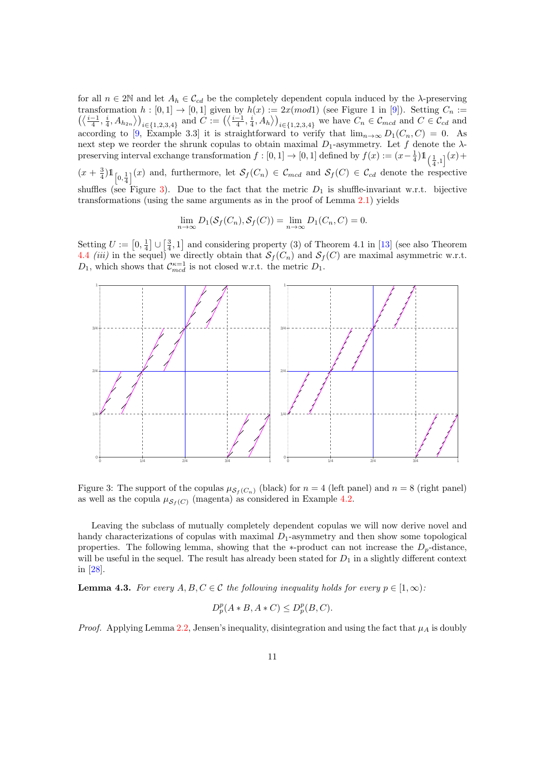for all  $n \in 2\mathbb{N}$  and let  $A_h \in \mathcal{C}_{cd}$  be the completely dependent copula induced by the  $\lambda$ -preserving transformation  $h : [0,1] \to [0,1]$  given by  $h(x) := 2x \pmod{1}$  (see Figure 1 in [\[9\]](#page-25-15)). Setting  $C_n :=$  $\left(\left\langle\frac{i-1}{4},\frac{i}{4},A_{h_{2n}}\right\rangle\right)_{i\in\{1,2,3,4\}}$  and  $C:=\left(\left\langle\frac{i-1}{4},\frac{i}{4},A_h\right\rangle\right)_{i\in\{1,2,3,4\}}$  we have  $C_n\in\mathcal{C}_{mod}$  and  $C\in\mathcal{C}_{cd}$  and  $\alpha$  according to [\[9,](#page-25-15) Example 3.3] it is straightforward to verify that  $\lim_{n\to\infty} D_1(C_n, C) = 0$ . As next step we reorder the shrunk copulas to obtain maximal  $D_1$ -asymmetry. Let f denote the  $\lambda$ preserving interval exchange transformation  $f : [0,1] \to [0,1]$  defined by  $f(x) := (x - \frac{1}{4}) \mathbb{1}_{\left(\frac{1}{4},1\right]}(x) +$ 4  $(x + \frac{3}{4})\mathbb{1}_{\left[0,\frac{1}{4}\right]}(x)$  and, furthermore, let  $\mathcal{S}_f(C_n) \in \mathcal{C}_{mod}$  and  $\mathcal{S}_f(C) \in \mathcal{C}_{cd}$  denote the respective shuffles (see Figure [3\)](#page-10-0). Due to the fact that the metric  $D_1$  is shuffle-invariant w.r.t. bijective

$$
\lim_{n \to \infty} D_1(\mathcal{S}_f(C_n), \mathcal{S}_f(C)) = \lim_{n \to \infty} D_1(C_n, C) = 0.
$$

transformations (using the same arguments as in the proof of Lemma [2.1\)](#page-3-0) yields

Setting  $U := [0, \frac{1}{4}] \cup [\frac{3}{4}, 1]$  and considering property (3) of Theorem 4.1 in [\[13\]](#page-25-4) (see also Theorem [4.4](#page-11-0) *(iii)* in the sequel) we directly obtain that  $S_f(C_n)$  and  $S_f(C)$  are maximal asymmetric w.r.t.  $D_1$ , which shows that  $\mathcal{C}_{med}^{\kappa=1}$  is not closed w.r.t. the metric  $D_1$ .



<span id="page-10-0"></span>Figure 3: The support of the copulas  $\mu_{\mathcal{S}_f(C_n)}$  (black) for  $n = 4$  (left panel) and  $n = 8$  (right panel) as well as the copula  $\mu_{\mathcal{S}_f(C)}$  (magenta) as considered in Example [4.2.](#page-9-0)

Leaving the subclass of mutually completely dependent copulas we will now derive novel and handy characterizations of copulas with maximal  $D_1$ -asymmetry and then show some topological properties. The following lemma, showing that the ∗-product can not increase the  $D_p$ -distance, will be useful in the sequel. The result has already been stated for  $D_1$  in a slightly different context in [\[28\]](#page-26-6).

<span id="page-10-1"></span>**Lemma 4.3.** For every  $A, B, C \in \mathcal{C}$  the following inequality holds for every  $p \in [1, \infty)$ :

$$
D_p^p(A * B, A * C) \le D_p^p(B, C).
$$

*Proof.* Applying Lemma [2.2,](#page-4-1) Jensen's inequality, disintegration and using the fact that  $\mu_A$  is doubly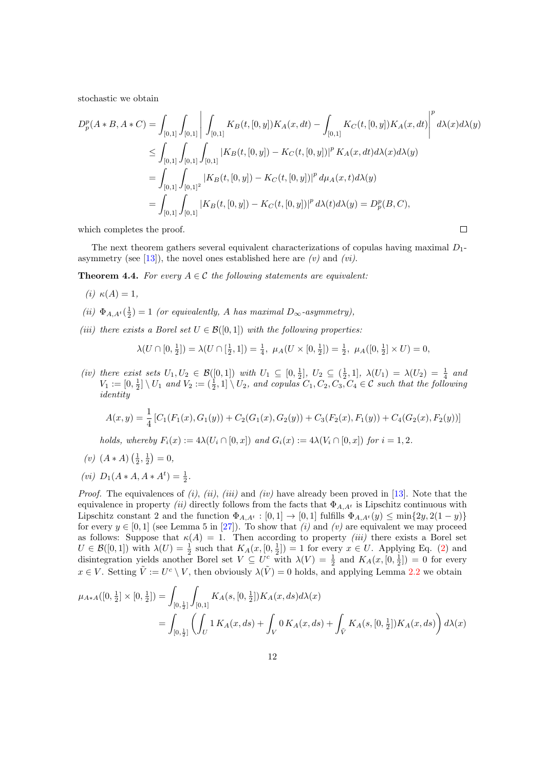stochastic we obtain

$$
D_p^p(A*B, A*C) = \int_{[0,1]} \int_{[0,1]} \left| \int_{[0,1]} K_B(t,[0,y]) K_A(x,dt) - \int_{[0,1]} K_C(t,[0,y]) K_A(x,dt) \right|^p d\lambda(x) d\lambda(y)
$$
  
\n
$$
\leq \int_{[0,1]} \int_{[0,1]} \int_{[0,1]} |K_B(t,[0,y]) - K_C(t,[0,y])|^p K_A(x,dt) d\lambda(x) d\lambda(y)
$$
  
\n
$$
= \int_{[0,1]} \int_{[0,1]} |K_B(t,[0,y]) - K_C(t,[0,y])|^p d\mu_A(x,t) d\lambda(y)
$$
  
\n
$$
= \int_{[0,1]} \int_{[0,1]} |K_B(t,[0,y]) - K_C(t,[0,y])|^p d\lambda(t) d\lambda(y) = D_p^p(B,C),
$$

which completes the proof.

The next theorem gathers several equivalent characterizations of copulas having maximal  $D_1$ -asymmetry (see [\[13\]](#page-25-4)), the novel ones established here are  $(v)$  and  $(vi)$ .

 $\Box$ 

<span id="page-11-0"></span>**Theorem 4.4.** For every  $A \in \mathcal{C}$  the following statements are equivalent:

$$
(i) \kappa(A) = 1,
$$

- (ii)  $\Phi_{A,A^t}(\frac{1}{2})=1$  (or equivalently, A has maximal  $D_{\infty}$ -asymmetry),
- (iii) there exists a Borel set  $U \in \mathcal{B}([0,1])$  with the following properties:

$$
\lambda(U \cap [0, \frac{1}{2}]) = \lambda(U \cap [\frac{1}{2}, 1]) = \frac{1}{4}, \ \mu_A(U \times [0, \frac{1}{2}]) = \frac{1}{2}, \ \mu_A([0, \frac{1}{2}] \times U) = 0,
$$

(iv) there exist sets  $U_1, U_2 \in \mathcal{B}([0,1])$  with  $U_1 \subseteq [0, \frac{1}{2}], U_2 \subseteq (\frac{1}{2}, 1], \lambda(U_1) = \lambda(U_2) = \frac{1}{4}$  and  $V_1 := [0, \frac{1}{2}] \setminus U_1$  and  $V_2 := (\frac{1}{2}, 1] \setminus U_2$ , and copulas  $C_1, C_2, C_3, C_4 \in \mathcal{C}$  such that the following identity

$$
A(x,y) = \frac{1}{4} [C_1(F_1(x), G_1(y)) + C_2(G_1(x), G_2(y)) + C_3(F_2(x), F_1(y)) + C_4(G_2(x), F_2(y))]
$$

holds, whereby  $F_i(x) := 4\lambda(U_i \cap [0, x])$  and  $G_i(x) := 4\lambda(V_i \cap [0, x])$  for  $i = 1, 2$ .

(v) 
$$
(A * A) \left(\frac{1}{2}, \frac{1}{2}\right) = 0
$$
,

(*vi*)  $D_1(A*A, A*A^t) = \frac{1}{2}$ .

*Proof.* The equivalences of  $(i)$ ,  $(ii)$ ,  $(iii)$  and  $(iv)$  have already been proved in [\[13\]](#page-25-4). Note that the equivalence in property (ii) directly follows from the facts that  $\Phi_{A,A}$ <sup>t</sup> is Lipschitz continuous with Lipschitz constant 2 and the function  $\Phi_{A,A^t}:[0,1]\to [0,1]$  fulfills  $\Phi_{A,A^t}(y)\leq \min\{2y,2(1-y)\}$ for every  $y \in [0, 1]$  (see Lemma 5 in [\[27\]](#page-26-1)). To show that (i) and (v) are equivalent we may proceed as follows: Suppose that  $\kappa(A) = 1$ . Then according to property *(iii)* there exists a Borel set  $U \in \mathcal{B}([0,1])$  with  $\lambda(U) = \frac{1}{2}$  such that  $K_A(x,[0,\frac{1}{2}]) = 1$  for every  $x \in U$ . Applying Eq. [\(2\)](#page-2-0) and disintegration yields another Borel set  $V \subseteq U^c$  with  $\lambda(V) = \frac{1}{2}$  and  $K_A(x, [0, \frac{1}{2}]) = 0$  for every  $x \in V$ . Setting  $\tilde{V} := U^c \setminus V$ , then obviously  $\lambda(\tilde{V}) = 0$  holds, and applying Lemma [2.2](#page-4-1) we obtain

$$
\mu_{A*A}([0, \frac{1}{2}] \times [0, \frac{1}{2}]) = \int_{[0, \frac{1}{2}]} \int_{[0,1]} K_A(s, [0, \frac{1}{2}]) K_A(x, ds) d\lambda(x)
$$
  
= 
$$
\int_{[0, \frac{1}{2}]} \left( \int_U 1 K_A(x, ds) + \int_V 0 K_A(x, ds) + \int_{\tilde{V}} K_A(s, [0, \frac{1}{2}]) K_A(x, ds) \right) d\lambda(x)
$$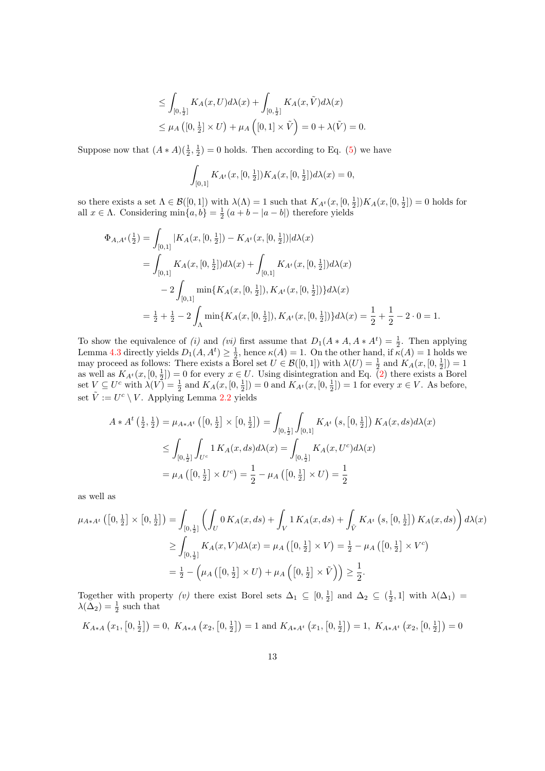$$
\leq \int_{[0,\frac{1}{2}]} K_A(x,U)d\lambda(x) + \int_{[0,\frac{1}{2}]} K_A(x,\tilde{V})d\lambda(x)
$$
  

$$
\leq \mu_A([0,\frac{1}{2}] \times U) + \mu_A([0,1] \times \tilde{V}) = 0 + \lambda(\tilde{V}) = 0.
$$

Suppose now that  $(A * A)(\frac{1}{2}, \frac{1}{2}) = 0$  holds. Then according to Eq. [\(5\)](#page-4-2) we have

$$
\int_{[0,1]} K_{A^t}(x,[0,\frac{1}{2}]) K_A(x,[0,\frac{1}{2}]) d\lambda(x) = 0,
$$

so there exists a set  $\Lambda \in \mathcal{B}([0,1])$  with  $\lambda(\Lambda) = 1$  such that  $K_{A^t}(x,[0,\frac{1}{2}])K_A(x,[0,\frac{1}{2}]) = 0$  holds for all  $x \in \Lambda$ . Considering  $\min\{a, b\} = \frac{1}{2}(a + b - |a - b|)$  therefore yields

$$
\Phi_{A,A^t}(\frac{1}{2}) = \int_{[0,1]} |K_A(x,[0,\frac{1}{2}]) - K_{A^t}(x,[0,\frac{1}{2}])|d\lambda(x)
$$
  
\n
$$
= \int_{[0,1]} K_A(x,[0,\frac{1}{2}])d\lambda(x) + \int_{[0,1]} K_{A^t}(x,[0,\frac{1}{2}])d\lambda(x)
$$
  
\n
$$
- 2 \int_{[0,1]} \min\{K_A(x,[0,\frac{1}{2}]), K_{A^t}(x,[0,\frac{1}{2}])\}d\lambda(x)
$$
  
\n
$$
= \frac{1}{2} + \frac{1}{2} - 2 \int_{\Lambda} \min\{K_A(x,[0,\frac{1}{2}]), K_{A^t}(x,[0,\frac{1}{2}])\}d\lambda(x) = \frac{1}{2} + \frac{1}{2} - 2 \cdot 0 = 1.
$$

To show the equivalence of (i) and (vi) first assume that  $D_1(A*A, A*A^t) = \frac{1}{2}$ . Then applying Lemma [4.3](#page-10-1) directly yields  $D_1(A, A^t) \geq \frac{1}{2}$ , hence  $\kappa(A) = 1$ . On the other hand, if  $\kappa(A) = 1$  holds we may proceed as follows: There exists a Borel set  $U \in \mathcal{B}([0,1])$  with  $\lambda(U) = \frac{1}{2}$  and  $K_A(x, [0, \frac{1}{2}]) = 1$ as well as  $K_{A^t}(x,[0,\frac{1}{2}])=0$  for every  $x\in U$ . Using disintegration and Eq. [\(2\)](#page-2-0) there exists a Borel set  $V \subseteq U^c$  with  $\lambda(V) = \frac{1}{2}$  and  $K_A(x, [0, \frac{1}{2}]) = 0$  and  $K_{A^t}(x, [0, \frac{1}{2}]) = 1$  for every  $x \in V$ . As before, set  $\tilde{V} := U^c \setminus V$ . Applying Lemma [2.2](#page-4-1) yields

$$
A * A^{t} \left(\frac{1}{2}, \frac{1}{2}\right) = \mu_{A * A^{t}} \left( \left[0, \frac{1}{2}\right] \times \left[0, \frac{1}{2}\right] \right) = \int_{[0, \frac{1}{2}]} \int_{[0,1]} K_{A^{t}} \left(s, \left[0, \frac{1}{2}\right]\right) K_{A}(x, ds) d\lambda(x)
$$
  
\n
$$
\leq \int_{[0, \frac{1}{2}]} \int_{U^{c}} 1 K_{A}(x, ds) d\lambda(x) = \int_{[0, \frac{1}{2}]} K_{A}(x, U^{c}) d\lambda(x)
$$
  
\n
$$
= \mu_{A} \left( \left[0, \frac{1}{2}\right] \times U^{c} \right) = \frac{1}{2} - \mu_{A} \left( \left[0, \frac{1}{2}\right] \times U \right) = \frac{1}{2}
$$

as well as

$$
\mu_{A*A^t} ([0, \frac{1}{2}] \times [0, \frac{1}{2}]) = \int_{[0, \frac{1}{2}]} \left( \int_U 0 K_A(x, ds) + \int_V 1 K_A(x, ds) + \int_{\tilde{V}} K_{A^t} (s, [0, \frac{1}{2}]) K_A(x, ds) \right) d\lambda(x)
$$
  
\n
$$
\geq \int_{[0, \frac{1}{2}]} K_A(x, V) d\lambda(x) = \mu_A ([0, \frac{1}{2}] \times V) = \frac{1}{2} - \mu_A ([0, \frac{1}{2}] \times V^c)
$$
  
\n
$$
= \frac{1}{2} - (\mu_A ([0, \frac{1}{2}] \times U) + \mu_A ([0, \frac{1}{2}] \times \tilde{V})) \geq \frac{1}{2}.
$$

Together with property (v) there exist Borel sets  $\Delta_1 \subseteq [0, \frac{1}{2}]$  and  $\Delta_2 \subseteq (\frac{1}{2}, 1]$  with  $\lambda(\Delta_1)$  $\lambda(\Delta_2) = \frac{1}{2}$  such that

 $K_{A*A}\left(x_1,\left[0,\frac{1}{2}\right]\right)=0, K_{A*A}\left(x_2,\left[0,\frac{1}{2}\right]\right)=1 \text{ and } K_{A*A^t}\left(x_1,\left[0,\frac{1}{2}\right]\right)=1, K_{A*A^t}\left(x_2,\left[0,\frac{1}{2}\right]\right)=0$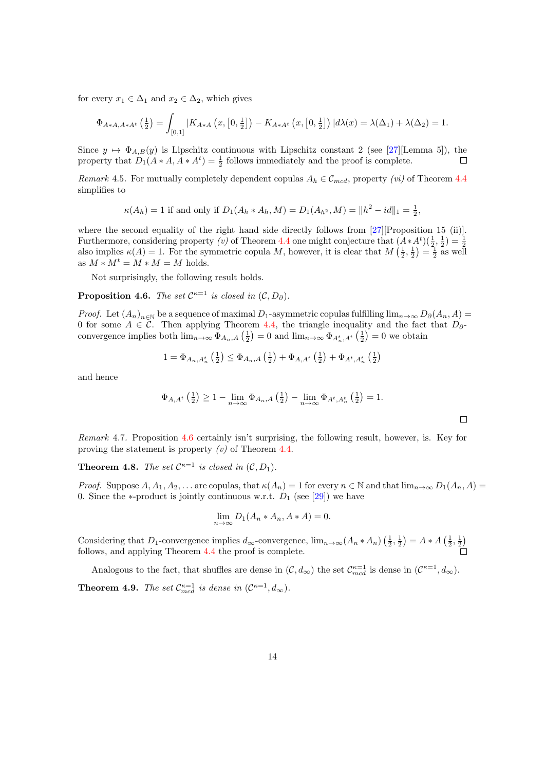for every  $x_1 \in \Delta_1$  and  $x_2 \in \Delta_2$ , which gives

$$
\Phi_{A*A,A*A^t}\left(\frac{1}{2}\right) = \int_{[0,1]} |K_{A*A}\left(x,\left[0,\frac{1}{2}\right]\right) - K_{A*A^t}\left(x,\left[0,\frac{1}{2}\right]\right)|d\lambda(x) = \lambda(\Delta_1) + \lambda(\Delta_2) = 1.
$$

Since  $y \mapsto \Phi_{A,B}(y)$  is Lipschitz continuous with Lipschitz constant 2 (see [\[27\]](#page-26-1)[Lemma 5]), the property that  $D_1(A*A, A*A^t) = \frac{1}{2}$  follows immediately and the proof is complete.  $\Box$ 

Remark 4.5. For mutually completely dependent copulas  $A_h \in \mathcal{C}_{mod}$ , property (*vi*) of Theorem [4.4](#page-11-0) simplifies to

$$
\kappa(A_h) = 1
$$
 if and only if  $D_1(A_h * A_h, M) = D_1(A_{h^2}, M) = ||h^2 - id||_1 = \frac{1}{2}$ ,

where the second equality of the right hand side directly follows from [\[27\]](#page-26-1)[Proposition 15 (ii)]. Furthermore, considering property (v) of Theorem [4.4](#page-11-0) one might conjecture that  $(A * A^t)(\frac{1}{2}, \frac{1}{2}) = \frac{1}{2}$  also implies  $\kappa(A) = 1$ . For the symmetric copula M, however, it is clear that  $M(\frac{1}{2}, \frac{1}{2}) = \frac{1}{2}$  as wel as  $M*M^t=M*M=M$  holds.

Not surprisingly, the following result holds.

<span id="page-13-0"></span>**Proposition 4.6.** The set  $\mathcal{C}^{\kappa=1}$  is closed in  $(\mathcal{C}, D_{\partial})$ .

*Proof.* Let  $(A_n)_{n\in\mathbb{N}}$  be a sequence of maximal  $D_1$ -asymmetric copulas fulfilling  $\lim_{n\to\infty}D_\partial(A_n, A)$ 0 for some  $A \in \mathcal{C}$ . Then applying Theorem [4.4,](#page-11-0) the triangle inequality and the fact that  $D_{\partial}$ convergence implies both  $\lim_{n\to\infty} \Phi_{A_n,A}\left(\frac{1}{2}\right) = 0$  and  $\lim_{n\to\infty} \Phi_{A_n^t,A^t}\left(\frac{1}{2}\right) = 0$  we obtain

$$
1 = \Phi_{A_n, A_n^t}\left(\frac{1}{2}\right) \leq \Phi_{A_n, A}\left(\frac{1}{2}\right) + \Phi_{A, A^t}\left(\frac{1}{2}\right) + \Phi_{A^t, A_n^t}\left(\frac{1}{2}\right)
$$

and hence

$$
\Phi_{A,A^t}\left(\frac{1}{2}\right) \ge 1 - \lim_{n \to \infty} \Phi_{A_n,A}\left(\frac{1}{2}\right) - \lim_{n \to \infty} \Phi_{A^t,A_n^t}\left(\frac{1}{2}\right) = 1.
$$

Remark 4.7. Proposition [4.6](#page-13-0) certainly isn't surprising, the following result, however, is. Key for proving the statement is property  $(v)$  of Theorem [4.4.](#page-11-0)

**Theorem 4.8.** The set  $\mathcal{C}^{\kappa=1}$  is closed in  $(\mathcal{C}, D_1)$ .

Proof. Suppose  $A, A_1, A_2, \ldots$  are copulas, that  $\kappa(A_n) = 1$  for every  $n \in \mathbb{N}$  and that  $\lim_{n \to \infty} D_1(A_n, A) =$ 0. Since the  $*$ -product is jointly continuous w.r.t.  $D_1$  (see [\[29\]](#page-26-5)) we have

$$
\lim_{n \to \infty} D_1(A_n * A_n, A * A) = 0.
$$

Considering that D<sub>1</sub>-convergence implies  $d_{\infty}$ -convergence,  $\lim_{n\to\infty}(A_n * A_n) \left(\frac{1}{2}, \frac{1}{2}\right) = A * A \left(\frac{1}{2}, \frac{1}{2}\right)$ follows, and applying Theorem [4.4](#page-11-0) the proof is complete.

Analogous to the fact, that shuffles are dense in  $(C, d_{\infty})$  the set  $\mathcal{C}_{med}^{\kappa=1}$  is dense in  $(\mathcal{C}^{\kappa=1}, d_{\infty})$ . **Theorem 4.9.** The set  $\mathcal{C}_{\text{med}}^{\kappa=1}$  is dense in  $(\mathcal{C}^{\kappa=1}, d_{\infty})$ .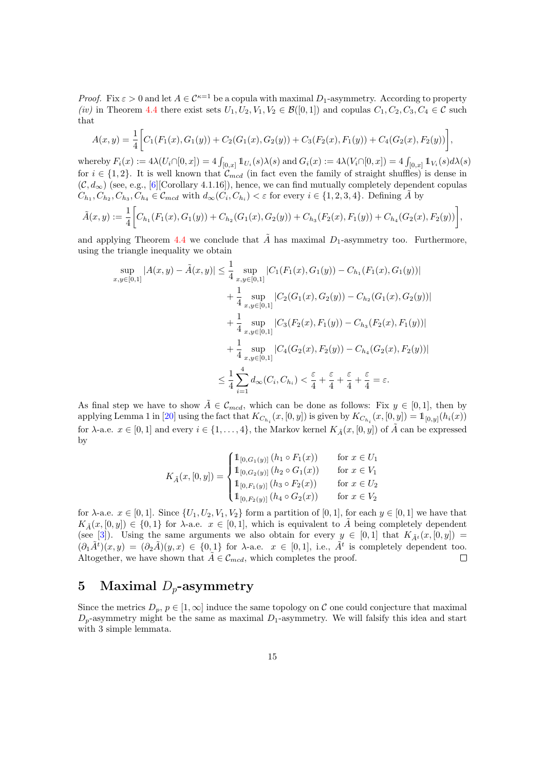*Proof.* Fix  $\varepsilon > 0$  and let  $A \in \mathcal{C}^{\kappa-1}$  be a copula with maximal  $D_1$ -asymmetry. According to property (iv) in Theorem [4.4](#page-11-0) there exist sets  $U_1, U_2, V_1, V_2 \in \mathcal{B}([0,1])$  and copulas  $C_1, C_2, C_3, C_4 \in \mathcal{C}$  such that

$$
A(x,y) = \frac{1}{4} \bigg[ C_1(F_1(x), G_1(y)) + C_2(G_1(x), G_2(y)) + C_3(F_2(x), F_1(y)) + C_4(G_2(x), F_2(y)) \bigg],
$$

whereby  $F_i(x) := 4\lambda(U_i \cap [0, x]) = 4 \int_{[0, x]} 1 \mathbb{1}_{U_i}(s) \lambda(s)$  and  $G_i(x) := 4\lambda(V_i \cap [0, x]) = 4 \int_{[0, x]} 1 \mathbb{1}_{V_i}(s) d\lambda(s)$ for  $i \in \{1,2\}$ . It is well known that  $\mathcal{C}_{mcd}$  (in fact even the family of straight shuffles) is dense in  $(C, d_{\infty})$  (see, e.g., [\[6\]](#page-25-8)[Corollary 4.1.16]), hence, we can find mutually completely dependent copulas  $C_{h_1}, C_{h_2}, C_{h_3}, C_{h_4} \in \mathcal{C}_{mod}$  with  $d_{\infty}(C_i, C_{h_i}) < \varepsilon$  for every  $i \in \{1, 2, 3, 4\}$ . Defining  $\tilde{A}$  by

$$
\tilde{A}(x,y) := \frac{1}{4} \bigg[ C_{h_1}(F_1(x), G_1(y)) + C_{h_2}(G_1(x), G_2(y)) + C_{h_3}(F_2(x), F_1(y)) + C_{h_4}(G_2(x), F_2(y)) \bigg],
$$

and applying Theorem [4.4](#page-11-0) we conclude that  $\tilde{A}$  has maximal D<sub>1</sub>-asymmetry too. Furthermore, using the triangle inequality we obtain

$$
\sup_{x,y\in[0,1]}|A(x,y) - \tilde{A}(x,y)| \leq \frac{1}{4} \sup_{x,y\in[0,1]}|C_1(F_1(x), G_1(y)) - C_{h_1}(F_1(x), G_1(y))| \n+ \frac{1}{4} \sup_{x,y\in[0,1]}|C_2(G_1(x), G_2(y)) - C_{h_2}(G_1(x), G_2(y))| \n+ \frac{1}{4} \sup_{x,y\in[0,1]}|C_3(F_2(x), F_1(y)) - C_{h_3}(F_2(x), F_1(y))| \n+ \frac{1}{4} \sup_{x,y\in[0,1]}|C_4(G_2(x), F_2(y)) - C_{h_4}(G_2(x), F_2(y))| \n\leq \frac{1}{4} \sum_{i=1}^4 d_{\infty}(C_i, C_{h_i}) < \frac{\varepsilon}{4} + \frac{\varepsilon}{4} + \frac{\varepsilon}{4} + \frac{\varepsilon}{4} = \varepsilon.
$$

As final step we have to show  $\tilde{A} \in \mathcal{C}_{mcd}$ , which can be done as follows: Fix  $y \in [0,1]$ , then by applying Lemma 1 in [\[20\]](#page-25-16) using the fact that  $K_{C_{h_i}}(x,[0,y])$  is given by  $K_{C_{h_i}}(x,[0,y]) = 1_{[0,y]}(h_i(x))$ for  $\lambda$ -a.e.  $x \in [0,1]$  and every  $i \in \{1,\ldots,4\}$ , the Markov kernel  $K_{\tilde{A}}(x,[0,y])$  of  $\tilde{A}$  can be expressed by

$$
K_{\tilde{A}}(x,[0,y]) = \begin{cases} \mathbb{1}_{[0,G_1(y)]}(h_1 \circ F_1(x)) & \text{for } x \in U_1 \\ \mathbb{1}_{[0,G_2(y)]}(h_2 \circ G_1(x)) & \text{for } x \in V_1 \\ \mathbb{1}_{[0,F_1(y)]}(h_3 \circ F_2(x)) & \text{for } x \in U_2 \\ \mathbb{1}_{[0,F_2(y)]}(h_4 \circ G_2(x)) & \text{for } x \in V_2 \end{cases}
$$

for  $\lambda$ -a.e.  $x \in [0,1]$ . Since  $\{U_1, U_2, V_1, V_2\}$  form a partition of  $[0,1]$ , for each  $y \in [0,1]$  we have that  $K_{\tilde{A}}(x,[0,y]) \in \{0,1\}$  for  $\lambda$ -a.e.  $x \in [0,1]$ , which is equivalent to A being completely dependent (see [\[3\]](#page-24-0)). Using the same arguments we also obtain for every  $y \in [0,1]$  that  $K_{\tilde{A}^t}(x,[0,y]) =$  $(\partial_1 \tilde{A}^t)(x,y) = (\partial_2 \tilde{A})(y,x) \in \{0,1\}$  for  $\lambda$ -a.e.  $x \in [0,1]$ , i.e.,  $\tilde{A}^t$  is completely dependent too. Altogether, we have shown that  $\tilde{A} \in \mathcal{C}_{mcd}$ , which completes the proof.  $\Box$ 

### 5 Maximal  $D_p$ -asymmetry

Since the metrics  $D_p$ ,  $p \in [1,\infty]$  induce the same topology on C one could conjecture that maximal  $D_p$ -asymmetry might be the same as maximal  $D_1$ -asymmetry. We will falsify this idea and start with 3 simple lemmata.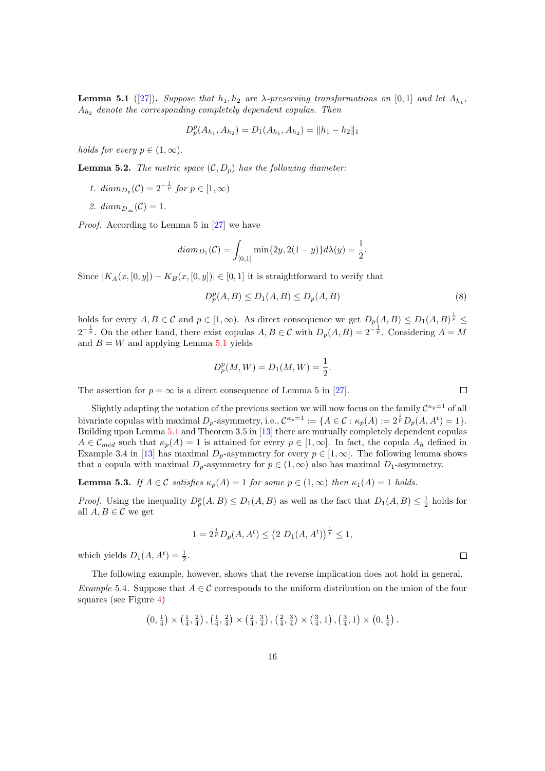<span id="page-15-0"></span>**Lemma 5.1** ([\[27\]](#page-26-1)). Suppose that  $h_1, h_2$  are  $\lambda$ -preserving transformations on [0,1] and let  $A_{h_1}$ ,  $A_{h_2}$  denote the corresponding completely dependent copulas. Then

$$
D_p^p(A_{h_1}, A_{h_2}) = D_1(A_{h_1}, A_{h_2}) = ||h_1 - h_2||_1
$$

holds for every  $p \in (1, \infty)$ .

**Lemma 5.2.** The metric space  $(C, D_n)$  has the following diameter:

- 1.  $diam_{D_p}(\mathcal{C}) = 2^{-\frac{1}{p}}$  for  $p \in [1, \infty)$
- 2.  $diam_{D_{\infty}}(\mathcal{C}) = 1$ .

Proof. According to Lemma 5 in [\[27\]](#page-26-1) we have

$$
diam_{D_1}(\mathcal{C}) = \int_{[0,1]} \min\{2y, 2(1-y)\} d\lambda(y) = \frac{1}{2}.
$$

Since  $|K_A(x,[0,y]) - K_B(x,[0,y])| \in [0,1]$  it is straightforward to verify that

$$
D_p^p(A, B) \le D_1(A, B) \le D_p(A, B)
$$
\n(8)

holds for every  $A, B \in \mathcal{C}$  and  $p \in [1, \infty)$ . As direct consequence we get  $D_p(A, B) \le D_1(A, B)^{\frac{1}{p}} \le$  $2^{-\frac{1}{p}}$ . On the other hand, there exist copulas  $A, B \in \mathcal{C}$  with  $D_p(A, B) = 2^{-\frac{1}{p}}$ . Considering  $A = M$ and  $B = W$  and applying Lemma [5.1](#page-15-0) yields

$$
D_p^p(M, W) = D_1(M, W) = \frac{1}{2}.
$$

The assertion for  $p = \infty$  is a direct consequence of Lemma 5 in [\[27\]](#page-26-1).

Slightly adapting the notation of the previous section we will now focus on the family  $\mathcal{C}^{\kappa_p=1}$  of all bivariate copulas with maximal  $D_p$ -asymmetry, i.e.,  $\mathcal{C}^{\kappa_p=1} := \{A \in \mathcal{C} : \kappa_p(A) := 2^{\frac{1}{p}} D_p(A, A^t) = 1\}.$ Building upon Lemma [5.1](#page-15-0) and Theorem 3.5 in [\[13\]](#page-25-4) there are mutually completely dependent copulas  $A \in \mathcal{C}_{med}$  such that  $\kappa_p(A) = 1$  is attained for every  $p \in [1, \infty]$ . In fact, the copula  $A_h$  defined in Example 3.4 in [\[13\]](#page-25-4) has maximal  $D_p$ -asymmetry for every  $p \in [1,\infty]$ . The following lemma shows that a copula with maximal  $D_p$ -asymmetry for  $p \in (1,\infty)$  also has maximal  $D_1$ -asymmetry.

<span id="page-15-2"></span>**Lemma 5.3.** If  $A \in \mathcal{C}$  satisfies  $\kappa_p(A) = 1$  for some  $p \in (1, \infty)$  then  $\kappa_1(A) = 1$  holds.

*Proof.* Using the inequality  $D_p^p(A, B) \le D_1(A, B)$  as well as the fact that  $D_1(A, B) \le \frac{1}{2}$  holds for all  $A, B \in \mathcal{C}$  we get

$$
1 = 2^{\frac{1}{p}} D_p(A, A^t) \le (2 D_1(A, A^t))^{\frac{1}{p}} \le 1,
$$

which yields  $D_1(A, A^t) = \frac{1}{2}$ .

<span id="page-15-1"></span>The following example, however, shows that the reverse implication does not hold in general. Example 5.4. Suppose that  $A \in \mathcal{C}$  corresponds to the uniform distribution on the union of the four squares (see Figure [4\)](#page-16-0)

$$
\left(0, \frac{1}{4}\right) \times \left(\frac{1}{4}, \frac{2}{4}\right), \left(\frac{1}{4}, \frac{2}{4}\right) \times \left(\frac{2}{4}, \frac{3}{4}\right), \left(\frac{2}{4}, \frac{3}{4}\right) \times \left(\frac{3}{4}, 1\right), \left(\frac{3}{4}, 1\right) \times \left(0, \frac{1}{4}\right).
$$

 $\Box$ 

 $\Box$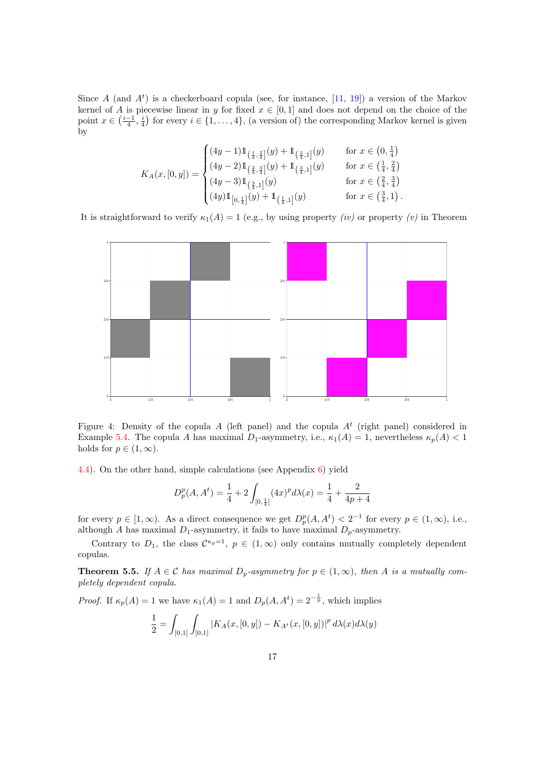Since A (and  $A^t$ ) is a checkerboard copula (see, for instance, [\[11,](#page-25-5) [19\]](#page-25-13)) a version of the Markov kernel of A is piecewise linear in y for fixed  $x \in [0,1]$  and does not depend on the choice of the point  $x \in (\frac{i-1}{4}, \frac{i}{4})$  for every  $i \in \{1, ..., 4\}$ , (a version of) the corresponding Markov kernel is given by

$$
K_A(x,[0,y]) = \begin{cases} (4y-1)1\left(\frac{1}{4},\frac{2}{4}\right](y) + 1\left(\frac{2}{4},1\right)(y) & \text{for } x \in \left(0,\frac{1}{4}\right) \\ (4y-2)1\left(\frac{2}{4},\frac{3}{4}\right](y) + 1\left(\frac{3}{4},1\right)(y) & \text{for } x \in \left(\frac{1}{4},\frac{2}{4}\right) \\ (4y-3)1\left(\frac{3}{4},1\right](y) & \text{for } x \in \left(\frac{2}{4},\frac{3}{4}\right) \\ (4y)1\left[\left(0,\frac{1}{4}\right](y) + 1\left(\frac{1}{4},1\right](y) & \text{for } x \in \left(\frac{3}{4},1\right). \end{cases}
$$

It is straightforward to verify  $\kappa_1(A) = 1$  (e.g., by using property *(iv)* or property *(v)* in Theorem



<span id="page-16-0"></span>Figure 4: Density of the copula A (left panel) and the copula  $A<sup>t</sup>$  (right panel) considered in Example [5.4.](#page-15-1) The copula A has maximal  $D_1$ -asymmetry, i.e.,  $\kappa_1(A) = 1$ , nevertheless  $\kappa_p(A) < 1$ holds for  $p \in (1,\infty)$ .

[4.4\)](#page-11-0). On the other hand, simple calculations (see Appendix [6\)](#page-22-0) yield

$$
D_p^p(A, A^t) = \frac{1}{4} + 2 \int_{[0, \frac{1}{4}]} (4x)^p d\lambda(x) = \frac{1}{4} + \frac{2}{4p+4}
$$

for every  $p \in [1, \infty)$ . As a direct consequence we get  $D_p^p(A, A^t) < 2^{-1}$  for every  $p \in (1, \infty)$ , i.e., although A has maximal  $D_1$ -asymmetry, it fails to have maximal  $D_p$ -asymmetry.

Contrary to  $D_1$ , the class  $\mathcal{C}^{\kappa_p=1}$ ,  $p \in (1,\infty)$  only contains mutually completely dependent copulas.

<span id="page-16-1"></span>**Theorem 5.5.** If  $A \in \mathcal{C}$  has maximal  $D_p$ -asymmetry for  $p \in (1,\infty)$ , then A is a mutually completely dependent copula.

*Proof.* If  $\kappa_p(A) = 1$  we have  $\kappa_1(A) = 1$  and  $D_p(A, A^t) = 2^{-\frac{1}{p}}$ , which implies

$$
\frac{1}{2} = \int_{[0,1]} \int_{[0,1]} |K_A(x,[0,y]) - K_{A^t}(x,[0,y])|^p d\lambda(x) d\lambda(y)
$$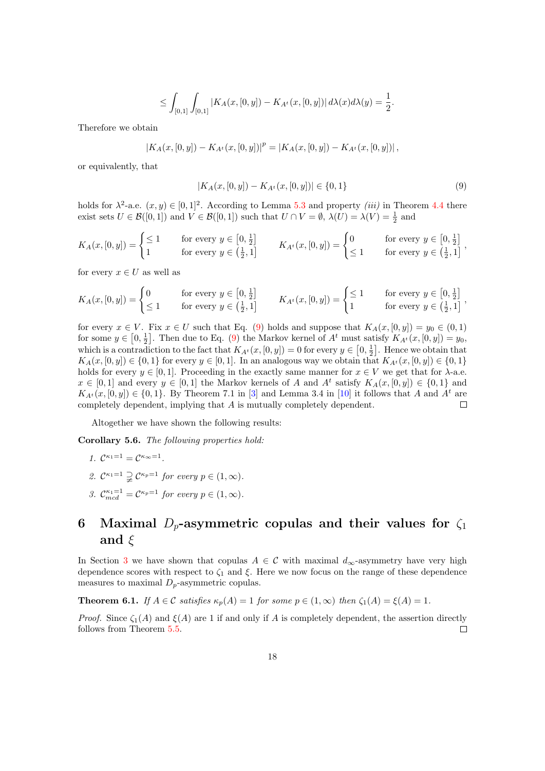$$
\leq \int_{[0,1]} \int_{[0,1]} |K_A(x,[0,y]) - K_{A^t}(x,[0,y])| d\lambda(x) d\lambda(y) = \frac{1}{2}.
$$

Therefore we obtain

$$
|K_A(x,[0,y])-K_{A^t}(x,[0,y])|^p=|K_A(x,[0,y])-K_{A^t}(x,[0,y])|,
$$

or equivalently, that

<span id="page-17-0"></span>
$$
|K_A(x,[0,y]) - K_{A^t}(x,[0,y])| \in \{0,1\}
$$
\n<sup>(9)</sup>

holds for  $\lambda^2$ -a.e.  $(x, y) \in [0, 1]^2$ . According to Lemma [5.3](#page-15-2) and property *(iii)* in Theorem [4.4](#page-11-0) there exist sets  $U \in \mathcal{B}([0,1])$  and  $V \in \mathcal{B}([0,1])$  such that  $U \cap V = \emptyset$ ,  $\lambda(U) = \lambda(V) = \frac{1}{2}$  and

$$
K_A(x, [0, y]) = \begin{cases} \leq 1 & \text{for every } y \in \left[0, \frac{1}{2}\right] \\ 1 & \text{for every } y \in \left(\frac{1}{2}, 1\right] \end{cases} \qquad K_{A^t}(x, [0, y]) = \begin{cases} 0 & \text{for every } y \in \left[0, \frac{1}{2}\right] \\ \leq 1 & \text{for every } y \in \left(\frac{1}{2}, 1\right] \end{cases}
$$

for every  $x \in U$  as well as

$$
K_A(x, [0, y]) = \begin{cases} 0 & \text{for every } y \in \left[0, \frac{1}{2}\right] \\ \leq 1 & \text{for every } y \in \left(\frac{1}{2}, 1\right] \end{cases} \qquad K_{A^t}(x, [0, y]) = \begin{cases} \leq 1 & \text{for every } y \in \left[0, \frac{1}{2}\right] \\ 1 & \text{for every } y \in \left(\frac{1}{2}, 1\right] \end{cases}
$$

for every  $x \in V$ . Fix  $x \in U$  such that Eq. [\(9\)](#page-17-0) holds and suppose that  $K_A(x, [0, y]) = y_0 \in (0, 1)$ for some  $y \in [0, \frac{1}{2}]$ . Then due to Eq. [\(9\)](#page-17-0) the Markov kernel of  $A^t$  must satisfy  $K_{A^t}(x, [0, y]) = y_0$ , which is a contradiction to the fact that  $K_{A} (x, [0, y]) = 0$  for every  $y \in [0, \frac{1}{2}]$ . Hence we obtain that  $K_A(x, [0, y]) \in \{0, 1\}$  for every  $y \in [0, 1]$ . In an analogous way we obtain that  $K_{A<sup>t</sup>}(x, [0, y]) \in \{0, 1\}$ holds for every  $y \in [0,1]$ . Proceeding in the exactly same manner for  $x \in V$  we get that for  $\lambda$ -a.e.  $x \in [0,1]$  and every  $y \in [0,1]$  the Markov kernels of A and  $A<sup>t</sup>$  satisfy  $K_A(x,[0,y]) \in \{0,1\}$  and  $K_{A<sup>t</sup>}(x,[0,y]) \in \{0,1\}$ . By Theorem 7.1 in [\[3\]](#page-24-0) and Lemma 3.4 in [\[10\]](#page-25-6) it follows that A and  $A<sup>t</sup>$  are completely dependent, implying that A is mutually completely dependent.  $\Box$ 

Altogether we have shown the following results:

Corollary 5.6. The following properties hold:

- 1.  $\mathcal{C}^{\kappa_1=1}=\mathcal{C}^{\kappa_{\infty}=1}$ .
- 2.  $\mathcal{C}^{\kappa_1=1} \supsetneq \mathcal{C}^{\kappa_p=1}$  for every  $p \in (1,\infty)$ .
- 3.  $\mathcal{C}_{mcd}^{\kappa_1=1} = \mathcal{C}^{\kappa_p=1}$  for every  $p \in (1,\infty)$ .

## 6 Maximal  $D_p$ -asymmetric copulas and their values for  $\zeta_1$ and  $\xi$

In Section [3](#page-4-3) we have shown that copulas  $A \in \mathcal{C}$  with maximal  $d_{\infty}$ -asymmetry have very high dependence scores with respect to  $\zeta_1$  and  $\xi$ . Here we now focus on the range of these dependence measures to maximal  $D_p$ -asymmetric copulas.

**Theorem 6.1.** If  $A \in \mathcal{C}$  satisfies  $\kappa_p(A) = 1$  for some  $p \in (1, \infty)$  then  $\zeta_1(A) = \xi(A) = 1$ .

*Proof.* Since  $\zeta_1(A)$  and  $\xi(A)$  are 1 if and only if A is completely dependent, the assertion directly follows from Theorem [5.5.](#page-16-1)  $\Box$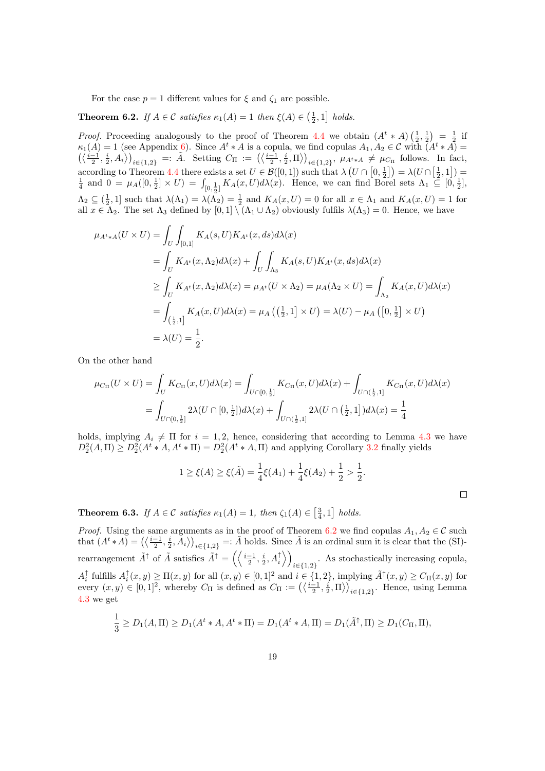For the case  $p = 1$  different values for  $\xi$  and  $\zeta_1$  are possible.

<span id="page-18-0"></span>**Theorem 6.2.** If  $A \in \mathcal{C}$  satisfies  $\kappa_1(A) = 1$  then  $\xi(A) \in \left(\frac{1}{2}, 1\right]$  holds.

*Proof.* Proceeding analogously to the proof of Theorem [4.4](#page-11-0) we obtain  $(A^t * A) \left(\frac{1}{2}, \frac{1}{2}\right) = \frac{1}{2}$  if  $\kappa_1(A) = 1$  (see Appendix [6\)](#page-22-0). Since  $A^t * A$  is a copula, we find copulas  $A_1, A_2 \in \mathcal{C}$  with  $(A^t * A) =$  $\left(\left\langle \frac{i-1}{2}, \frac{i}{2}, A_i \right\rangle \right)_{i \in \{1,2\}} =: \tilde{A}$ . Setting  $C_{\Pi} := \left(\left\langle \frac{i-1}{2}, \frac{i}{2}, \Pi \right\rangle\right)_{i \in \{1,2\}}, \mu_{A^t \ast A} \neq \mu_{C_{\Pi}}$  follows. In fact, according to Theorem [4.4](#page-11-0) there exists a set  $U \in \mathcal{B}([0,1])$  such that  $\lambda \left( U \cap [0, \frac{1}{2}] \right) = \lambda (U \cap [\frac{1}{2}, 1]) = \frac{1}{4}$  and  $0 = \mu_A([0, \frac{1}{2}] \times U) = \int_{[0, \frac{1}{2}]} K_A(x, U) d\lambda(x)$ . Hence, we can find Borel sets  $\Lambda_1 \subseteq [0, \frac{1}{2}]$  $\Lambda_2 \subseteq (\frac{1}{2}, 1]$  such that  $\lambda(\Lambda_1) = \lambda(\Lambda_2) = \frac{1}{2}$  and  $K_A(x, U) = 0$  for all  $x \in \Lambda_1$  and  $K_A(x, U) = 1$  for all  $x \in \Lambda_2$ . The set  $\Lambda_3$  defined by  $[0,1] \setminus (\Lambda_1 \cup \Lambda_2)$  obviously fulfils  $\lambda(\Lambda_3) = 0$ . Hence, we have

$$
\mu_{A^t * A}(U \times U) = \int_U \int_{[0,1]} K_A(s, U) K_{A^t}(x, ds) d\lambda(x)
$$
  
\n
$$
= \int_U K_{A^t}(x, \Lambda_2) d\lambda(x) + \int_U \int_{\Lambda_3} K_A(s, U) K_{A^t}(x, ds) d\lambda(x)
$$
  
\n
$$
\geq \int_U K_{A^t}(x, \Lambda_2) d\lambda(x) = \mu_{A^t}(U \times \Lambda_2) = \mu_A(\Lambda_2 \times U) = \int_{\Lambda_2} K_A(x, U) d\lambda(x)
$$
  
\n
$$
= \int_{\left(\frac{1}{2}, 1\right]} K_A(x, U) d\lambda(x) = \mu_A \left(\left(\frac{1}{2}, 1\right] \times U\right) = \lambda(U) - \mu_A \left(\left[0, \frac{1}{2}\right] \times U\right)
$$
  
\n
$$
= \lambda(U) = \frac{1}{2}.
$$

On the other hand

$$
\mu_{C_{\Pi}}(U \times U) = \int_{U} K_{C_{\Pi}}(x, U) d\lambda(x) = \int_{U \cap [0, \frac{1}{2}]} K_{C_{\Pi}}(x, U) d\lambda(x) + \int_{U \cap (\frac{1}{2}, 1]} K_{C_{\Pi}}(x, U) d\lambda(x)
$$

$$
= \int_{U \cap [0, \frac{1}{2}]} 2\lambda (U \cap [0, \frac{1}{2}]) d\lambda(x) + \int_{U \cap (\frac{1}{2}, 1]} 2\lambda (U \cap (\frac{1}{2}, 1]) d\lambda(x) = \frac{1}{4}
$$

holds, implying  $A_i \neq \Pi$  for  $i = 1, 2$ , hence, considering that according to Lemma [4.3](#page-10-1) we have  $D_2^2(A,\Pi) \ge D_2^2(A^t * A, A^t * \Pi) = D_2^2(A^t * A, \Pi)$  and applying Corollary [3.2](#page-5-0) finally yields

$$
1 \ge \xi(A) \ge \xi(\tilde{A}) = \frac{1}{4}\xi(A_1) + \frac{1}{4}\xi(A_2) + \frac{1}{2} > \frac{1}{2}.
$$

 $\Box$ 

<span id="page-18-1"></span>**Theorem 6.3.** If  $A \in \mathcal{C}$  satisfies  $\kappa_1(A) = 1$ , then  $\zeta_1(A) \in \left[\frac{3}{4}, 1\right]$  holds.

*Proof.* Using the same arguments as in the proof of Theorem [6.2](#page-18-0) we find copulas  $A_1, A_2 \in \mathcal{C}$  such that  $(A^t * A) = (\langle \frac{i-1}{2}, \frac{i}{2}, A_i \rangle)_{i \in \{1,2\}} =: \tilde{A}$  holds. Since  $\tilde{A}$  is an ordinal sum it is clear that the (SI)rearrangement  $\tilde{A}^{\uparrow}$  of  $\tilde{A}$  satisfies  $\tilde{A}^{\uparrow} = \left( \left\langle \frac{i-1}{2}, \frac{i}{2}, A_i^{\uparrow} \right\rangle \right)$  $i∈$ {1,2}</sub> As stochastically increasing copula,  $A_i^{\uparrow}$  fulfills  $A_i^{\uparrow}(x, y) \ge \Pi(x, y)$  for all  $(x, y) \in [0, 1]^2$  and  $i \in \{1, 2\}$ , implying  $\tilde{A}^{\uparrow}(x, y) \ge C_{\Pi}(x, y)$  for every  $(x, y) \in [0, 1]^2$ , whereby  $C_{\Pi}$  is defined as  $C_{\Pi} := (\langle \frac{i-1}{2}, \frac{i}{2}, \Pi \rangle)_{i \in \{1, 2\}}$ . Hence, using Lemma [4.3](#page-10-1) we get

$$
\frac{1}{3} \ge D_1(A,\Pi) \ge D_1(A^t * A, A^t * \Pi) = D_1(A^t * A, \Pi) = D_1(\tilde{A}^\uparrow, \Pi) \ge D_1(C_{\Pi}, \Pi),
$$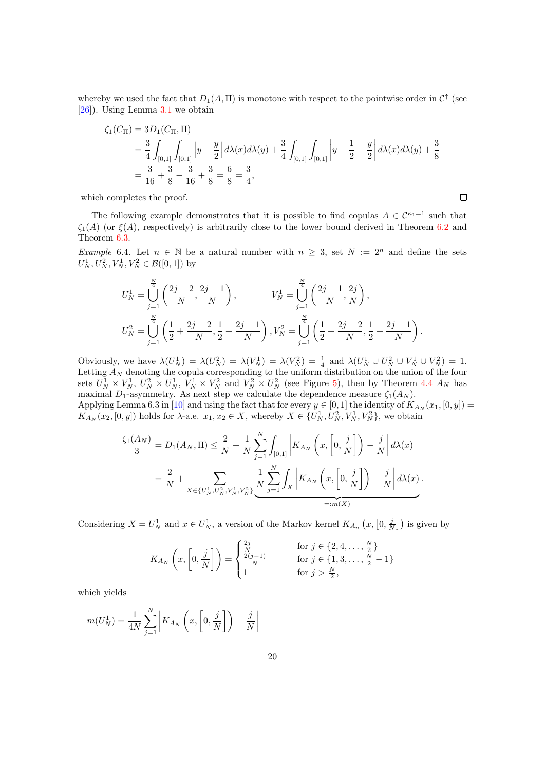whereby we used the fact that  $D_1(A,\Pi)$  is monotone with respect to the pointwise order in  $\mathcal{C}^{\uparrow}$  (see [\[26\]](#page-26-3)). Using Lemma [3.1](#page-4-0) we obtain

$$
\zeta_1(C_{\Pi}) = 3D_1(C_{\Pi}, \Pi)
$$
  
=  $\frac{3}{4} \int_{[0,1]} \int_{[0,1]} |y - \frac{y}{2}| d\lambda(x) d\lambda(y) + \frac{3}{4} \int_{[0,1]} \int_{[0,1]} |y - \frac{1}{2} - \frac{y}{2}| d\lambda(x) d\lambda(y) + \frac{3}{8}$   
=  $\frac{3}{16} + \frac{3}{8} - \frac{3}{16} + \frac{3}{8} = \frac{6}{8} = \frac{3}{4}$ ,

 $\Box$ 

which completes the proof.

The following example demonstrates that it is possible to find copulas  $A \in C^{\kappa_1=1}$  such that  $\zeta_1(A)$  (or  $\xi(A)$ , respectively) is arbitrarily close to the lower bound derived in Theorem [6.2](#page-18-0) and Theorem [6.3.](#page-18-1)

<span id="page-19-0"></span>Example 6.4. Let  $n \in \mathbb{N}$  be a natural number with  $n \geq 3$ , set  $N := 2^n$  and define the sets  $U_N^1, U_N^2, V_N^1, V_N^2 \in \mathcal{B}([0,1])$  by

$$
U_N^1 = \bigcup_{j=1}^{\frac{N}{4}} \left( \frac{2j-2}{N}, \frac{2j-1}{N} \right), \qquad V_N^1 = \bigcup_{j=1}^{\frac{N}{4}} \left( \frac{2j-1}{N}, \frac{2j}{N} \right),
$$
  

$$
U_N^2 = \bigcup_{j=1}^{\frac{N}{4}} \left( \frac{1}{2} + \frac{2j-2}{N}, \frac{1}{2} + \frac{2j-1}{N} \right), V_N^2 = \bigcup_{j=1}^{\frac{N}{4}} \left( \frac{1}{2} + \frac{2j-2}{N}, \frac{1}{2} + \frac{2j-1}{N} \right).
$$

Obviously, we have  $\lambda(U_N^1) = \lambda(U_N^2) = \lambda(V_N^1) = \lambda(V_N^2) = \frac{1}{4}$  and  $\lambda(U_N^1 \cup U_N^2 \cup V_N^1 \cup V_N^2) = 1$ . Letting  $A_N$  denoting the copula corresponding to the uniform distribution on the union of the four sets  $U_N^1 \times V_N^1$ ,  $U_N^2 \times U_N^1$ ,  $V_N^1 \times V_N^2$  and  $V_N^2 \times U_N^2$  (see Figure [5\)](#page-20-0), then by Theorem [4.4](#page-11-0)  $A_N$  has maximal  $D_1$ -asymmetry. As next step we calculate the dependence measure  $\zeta_1(A_N)$ .

Applying Lemma 6.3 in [\[10\]](#page-25-6) and using the fact that for every  $y \in [0, 1]$  the identity of  $K_{A_N}(x_1, [0, y]) =$  $K_{A_N}(x_2,[0,y])$  holds for  $\lambda$ -a.e.  $x_1, x_2 \in X$ , whereby  $X \in \{U_N^1, U_N^2, V_N^1, V_N^2\}$ , we obtain

$$
\frac{\zeta_1(A_N)}{3} = D_1(A_N, \Pi) \le \frac{2}{N} + \frac{1}{N} \sum_{j=1}^N \int_{[0,1]} \left| K_{A_N} \left( x, \left[ 0, \frac{j}{N} \right] \right) - \frac{j}{N} \right| d\lambda(x)
$$

$$
= \frac{2}{N} + \sum_{X \in \{U_N^1, U_N^2, V_N^1, V_N^2\}} \underbrace{\frac{1}{N} \sum_{j=1}^N \int_X \left| K_{A_N} \left( x, \left[ 0, \frac{j}{N} \right] \right) - \frac{j}{N} \right| d\lambda(x)}_{=:m(X)}.
$$

Considering  $X = U_N^1$  and  $x \in U_N^1$ , a version of the Markov kernel  $K_{A_n}(x, [0, \frac{j}{N}])$  is given by

$$
K_{A_N}\left(x,\left[0,\frac{j}{N}\right]\right) = \begin{cases} \frac{2j}{N} & \text{for } j \in \{2,4,\dots,\frac{N}{2}\} \\ \frac{2(j-1)}{N} & \text{for } j \in \{1,3,\dots,\frac{N}{2}-1\} \\ 1 & \text{for } j > \frac{N}{2}, \end{cases}
$$

which yields

$$
m(U_N^1) = \frac{1}{4N} \sum_{j=1}^N \left| K_{A_N} \left( x, \left[ 0, \frac{j}{N} \right] \right) - \frac{j}{N} \right|
$$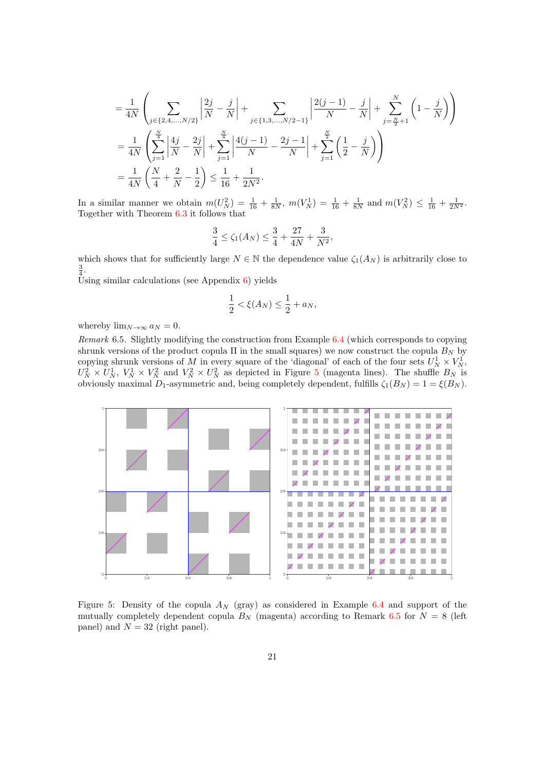$$
= \frac{1}{4N} \left( \sum_{j \in \{2, 4, \dots, N/2\}} \left| \frac{2j}{N} - \frac{j}{N} \right| + \sum_{j \in \{1, 3, \dots, N/2 - 1\}} \left| \frac{2(j-1)}{N} - \frac{j}{N} \right| + \sum_{j = \frac{N}{2} + 1}^{N} \left( 1 - \frac{j}{N} \right) \right)
$$
  

$$
= \frac{1}{4N} \left( \sum_{j=1}^{\frac{N}{4}} \left| \frac{4j}{N} - \frac{2j}{N} \right| + \sum_{j=1}^{\frac{N}{4}} \left| \frac{4(j-1)}{N} - \frac{2j-1}{N} \right| + \sum_{j=1}^{\frac{N}{2}} \left( \frac{1}{2} - \frac{j}{N} \right) \right)
$$
  

$$
= \frac{1}{4N} \left( \frac{N}{4} + \frac{2}{N} - \frac{1}{2} \right) \le \frac{1}{16} + \frac{1}{2N^2}.
$$

In a similar manner we obtain  $m(U_N^2) = \frac{1}{16} + \frac{1}{8N}$ ,  $m(V_N^1) = \frac{1}{16} + \frac{1}{8N}$  and  $m(V_N^2) \le \frac{1}{16} + \frac{1}{2N^2}$ . Together with Theorem [6.3](#page-18-1) it follows that

$$
\frac{3}{4} \le \zeta_1(A_N) \le \frac{3}{4} + \frac{27}{4N} + \frac{3}{N^2},
$$

which shows that for sufficiently large  $N \in \mathbb{N}$  the dependence value  $\zeta_1(A_N)$  is arbitrarily close to  $\frac{3}{4}$ .

Using similar calculations (see Appendix  $6$ ) yields

$$
\frac{1}{2} < \xi(A_N) \le \frac{1}{2} + a_N,
$$

whereby  $\lim_{N\to\infty} a_N = 0$ .

<span id="page-20-1"></span>Remark 6.5. Slightly modifying the construction from Example [6.4](#page-19-0) (which corresponds to copying shrunk versions of the product copula  $\Pi$  in the small squares) we now construct the copula  $B_N$  by copying shrunk versions of M in every square of the 'diagonal' of each of the four sets  $U_N^1 \times V_N^1$ ,  $U_N^2 \times U_N^1$ ,  $V_N^1 \times V_N^2$  and  $V_N^2 \times U_N^2$  as depicted in Figure [5](#page-20-0) (magenta lines). The shuffle  $B_N$  is obviously maximal  $D_1$ -asymmetric and, being completely dependent, fulfills  $\zeta_1(B_N) = 1 = \xi(B_N)$ .



<span id="page-20-0"></span>Figure 5: Density of the copula  $A_N$  (gray) as considered in Example [6.4](#page-19-0) and support of the mutually completely dependent copula  $B<sub>N</sub>$  (magenta) according to Remark [6.5](#page-20-1) for  $N = 8$  (left panel) and  $N = 32$  (right panel).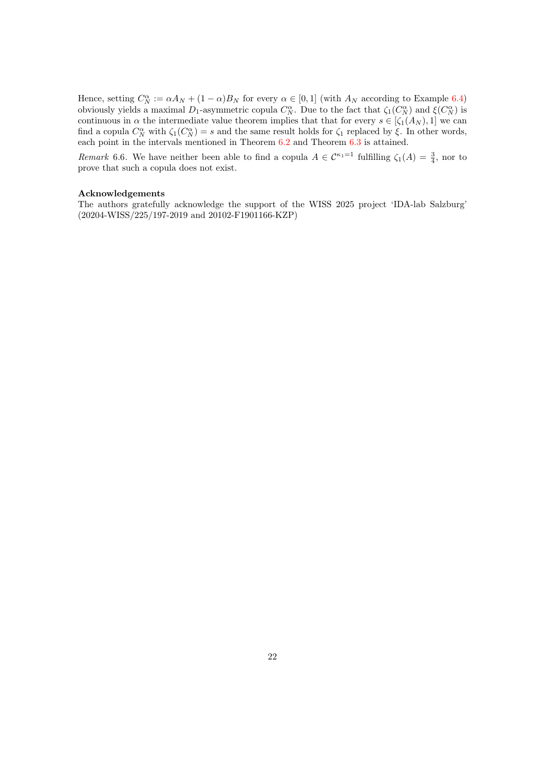Hence, setting  $C_N^{\alpha} := \alpha A_N + (1 - \alpha) B_N$  for every  $\alpha \in [0, 1]$  (with  $A_N$  according to Example [6.4\)](#page-19-0) obviously yields a maximal  $D_1$ -asymmetric copula  $C_N^{\alpha}$ . Due to the fact that  $\zeta_1(C_N^{\alpha})$  and  $\xi(C_N^{\alpha})$  is continuous in  $\alpha$  the intermediate value theorem implies that that for every  $s \in [\zeta_1(A_N), 1]$  we can find a copula  $C_N^{\alpha}$  with  $\zeta_1(C_N^{\alpha})=s$  and the same result holds for  $\zeta_1$  replaced by  $\xi$ . In other words, each point in the intervals mentioned in Theorem [6.2](#page-18-0) and Theorem [6.3](#page-18-1) is attained.

Remark 6.6. We have neither been able to find a copula  $A \in C^{\kappa_1=1}$  fulfilling  $\zeta_1(A) = \frac{3}{4}$ , nor to prove that such a copula does not exist.

#### Acknowledgements

The authors gratefully acknowledge the support of the WISS 2025 project 'IDA-lab Salzburg' (20204-WISS/225/197-2019 and 20102-F1901166-KZP)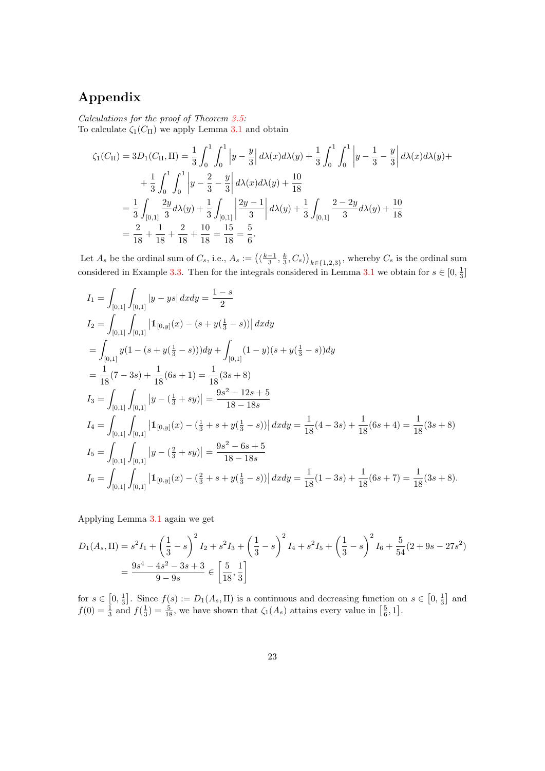# <span id="page-22-0"></span>Appendix

Calculations for the proof of Theorem [3.5:](#page-7-0)

To calculate  $\zeta_1(C_{\Pi})$  we apply Lemma [3.1](#page-4-0) and obtain

$$
\zeta_1(C_{\Pi}) = 3D_1(C_{\Pi}, \Pi) = \frac{1}{3} \int_0^1 \int_0^1 \left| y - \frac{y}{3} \right| d\lambda(x) d\lambda(y) + \frac{1}{3} \int_0^1 \int_0^1 \left| y - \frac{1}{3} - \frac{y}{3} \right| d\lambda(x) d\lambda(y) +
$$

$$
+ \frac{1}{3} \int_0^1 \int_0^1 \left| y - \frac{2}{3} - \frac{y}{3} \right| d\lambda(x) d\lambda(y) + \frac{10}{18}
$$

$$
= \frac{1}{3} \int_{[0,1]} \frac{2y}{3} d\lambda(y) + \frac{1}{3} \int_{[0,1]} \left| \frac{2y - 1}{3} \right| d\lambda(y) + \frac{1}{3} \int_{[0,1]} \frac{2 - 2y}{3} d\lambda(y) + \frac{10}{18}
$$

$$
= \frac{2}{18} + \frac{1}{18} + \frac{2}{18} + \frac{10}{18} = \frac{15}{18} = \frac{5}{6}.
$$

Let  $A_s$  be the ordinal sum of  $C_s$ , i.e.,  $A_s := (\langle \frac{k-1}{3}, \frac{k}{3}, C_s \rangle)_{k \in \{1,2,3\}}$ , whereby  $C_s$  is the ordinal sum considered in Example [3.3.](#page-6-1) Then for the integrals considered in Lemma [3.1](#page-4-0) we obtain for  $s \in [0, \frac{1}{3}]$ 

$$
I_{1} = \int_{[0,1]} \int_{[0,1]} |y - ys| dx dy = \frac{1 - s}{2}
$$
  
\n
$$
I_{2} = \int_{[0,1]} \int_{[0,1]} |1_{[0,y]}(x) - (s + y(\frac{1}{3} - s))| dx dy
$$
  
\n
$$
= \int_{[0,1]} y(1 - (s + y(\frac{1}{3} - s))) dy + \int_{[0,1]} (1 - y)(s + y(\frac{1}{3} - s)) dy
$$
  
\n
$$
= \frac{1}{18}(7 - 3s) + \frac{1}{18}(6s + 1) = \frac{1}{18}(3s + 8)
$$
  
\n
$$
I_{3} = \int_{[0,1]} \int_{[0,1]} |y - (\frac{1}{3} + sy)| = \frac{9s^{2} - 12s + 5}{18 - 18s}
$$
  
\n
$$
I_{4} = \int_{[0,1]} \int_{[0,1]} |1_{[0,y]}(x) - (\frac{1}{3} + s + y(\frac{1}{3} - s))| dx dy = \frac{1}{18}(4 - 3s) + \frac{1}{18}(6s + 4) = \frac{1}{18}(3s + 8)
$$
  
\n
$$
I_{5} = \int_{[0,1]} \int_{[0,1]} |y - (\frac{2}{3} + sy)| = \frac{9s^{2} - 6s + 5}{18 - 18s}
$$
  
\n
$$
I_{6} = \int_{[0,1]} \int_{[0,1]} |1_{[0,y]}(x) - (\frac{2}{3} + s + y(\frac{1}{3} - s))| dx dy = \frac{1}{18}(1 - 3s) + \frac{1}{18}(6s + 7) = \frac{1}{18}(3s + 8).
$$

Applying Lemma [3.1](#page-4-0) again we get

$$
D_1(A_s, \Pi) = s^2 I_1 + \left(\frac{1}{3} - s\right)^2 I_2 + s^2 I_3 + \left(\frac{1}{3} - s\right)^2 I_4 + s^2 I_5 + \left(\frac{1}{3} - s\right)^2 I_6 + \frac{5}{54} (2 + 9s - 27s^2)
$$
  
=  $\frac{9s^4 - 4s^2 - 3s + 3}{9 - 9s} \in \left[\frac{5}{18}, \frac{1}{3}\right]$ 

for  $s \in [0, \frac{1}{3}]$ . Since  $f(s) := D_1(A_s, \Pi)$  is a continuous and decreasing function on  $s \in [0, \frac{1}{3}]$  and  $f(0) = \frac{1}{3}$  and  $f(\frac{1}{3}) = \frac{5}{18}$ , we have shown that  $\zeta_1(A_s)$  attains every value in  $\left[\frac{5}{6}, 1\right]$ .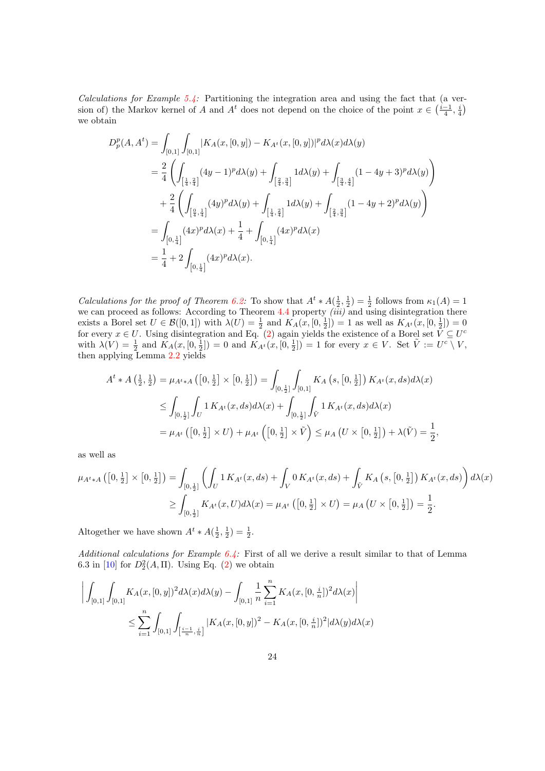Calculations for Example  $5.4$ : Partitioning the integration area and using the fact that (a version of) the Markov kernel of A and  $A^t$  does not depend on the choice of the point  $x \in \left(\frac{i-1}{4}, \frac{i}{4}\right)$ we obtain

$$
D_p^p(A, A^t) = \int_{[0,1]} \int_{[0,1]} |K_A(x, [0, y]) - K_{A^t}(x, [0, y])|^p d\lambda(x) d\lambda(y)
$$
  
\n
$$
= \frac{2}{4} \left( \int_{\left[\frac{1}{4}, \frac{2}{4}\right]} (4y - 1)^p d\lambda(y) + \int_{\left[\frac{2}{4}, \frac{3}{4}\right]} 1 d\lambda(y) + \int_{\left[\frac{3}{4}, \frac{4}{4}\right]} (1 - 4y + 3)^p d\lambda(y) \right)
$$
  
\n
$$
+ \frac{2}{4} \left( \int_{\left[\frac{0}{4}, \frac{1}{4}\right]} (4y)^p d\lambda(y) + \int_{\left[\frac{1}{4}, \frac{2}{4}\right]} 1 d\lambda(y) + \int_{\left[\frac{2}{4}, \frac{3}{4}\right]} (1 - 4y + 2)^p d\lambda(y) \right)
$$
  
\n
$$
= \int_{\left[0, \frac{1}{4}\right]} (4x)^p d\lambda(x) + \frac{1}{4} + \int_{\left[0, \frac{1}{4}\right]} (4x)^p d\lambda(x)
$$
  
\n
$$
= \frac{1}{4} + 2 \int_{\left[0, \frac{1}{4}\right]} (4x)^p d\lambda(x).
$$

*Calculations for the proof of Theorem [6.2:](#page-18-0)* To show that  $A^t * A(\frac{1}{2}, \frac{1}{2}) = \frac{1}{2}$  follows from  $\kappa_1(A) = 1$ we can proceed as follows: According to Theorem [4.4](#page-11-0) property  $(iii)$  and using disintegration there exists a Borel set  $U \in \mathcal{B}([0,1])$  with  $\lambda(U) = \frac{1}{2}$  and  $K_A(x,[0,\frac{1}{2}]) = 1$  as well as  $K_{A^t}(x,[0,\frac{1}{2}]) = 0$ for every  $x \in U$ . Using disintegration and Eq. [\(2\)](#page-2-0) again yields the existence of a Borel set  $\bar{V} \subseteq U^c$ with  $\lambda(V) = \frac{1}{2}$  and  $K_A(x, [0, \frac{1}{2}]) = 0$  and  $K_{A^t}(x, [0, \frac{1}{2}]) = 1$  for every  $x \in V$ . Set  $\tilde{V} := U^c \setminus V$ , then applying Lemma [2.2](#page-4-1) yields

$$
A^{t} * A\left(\frac{1}{2}, \frac{1}{2}\right) = \mu_{A^{t} * A}\left(\left[0, \frac{1}{2}\right] \times \left[0, \frac{1}{2}\right]\right) = \int_{\left[0, \frac{1}{2}\right]} \int_{\left[0, 1\right]} K_{A}\left(s, \left[0, \frac{1}{2}\right]\right) K_{A^{t}}(x, ds) d\lambda(x)
$$
  
\n
$$
\leq \int_{\left[0, \frac{1}{2}\right]} \int_{U} 1 K_{A^{t}}(x, ds) d\lambda(x) + \int_{\left[0, \frac{1}{2}\right]} \int_{\tilde{V}} 1 K_{A^{t}}(x, ds) d\lambda(x)
$$
  
\n
$$
= \mu_{A^{t}}\left(\left[0, \frac{1}{2}\right] \times U\right) + \mu_{A^{t}}\left(\left[0, \frac{1}{2}\right] \times \tilde{V}\right) \leq \mu_{A}\left(U \times \left[0, \frac{1}{2}\right]\right) + \lambda(\tilde{V}) = \frac{1}{2},
$$

as well as

$$
\mu_{A^t * A} ([0, \frac{1}{2}] \times [0, \frac{1}{2}]) = \int_{[0, \frac{1}{2}]} \left( \int_U 1 K_{A^t}(x, ds) + \int_V 0 K_{A^t}(x, ds) + \int_{\tilde{V}} K_A (s, [0, \frac{1}{2}]) K_{A^t}(x, ds) \right) d\lambda(x)
$$
  

$$
\geq \int_{[0, \frac{1}{2}]} K_{A^t}(x, U) d\lambda(x) = \mu_{A^t} ([0, \frac{1}{2}] \times U) = \mu_A (U \times [0, \frac{1}{2}]) = \frac{1}{2}.
$$

Altogether we have shown  $A^t * A(\frac{1}{2}, \frac{1}{2}) = \frac{1}{2}$ .

Additional calculations for Example  $6.4$ : First of all we derive a result similar to that of Lemma 6.3 in [\[10\]](#page-25-6) for  $D_2^2(A,\Pi)$ . Using Eq. [\(2\)](#page-2-0) we obtain

$$
\left| \int_{[0,1]} \int_{[0,1]} K_A(x,[0,y])^2 d\lambda(x) d\lambda(y) - \int_{[0,1]} \frac{1}{n} \sum_{i=1}^n K_A(x,[0,\frac{i}{n}])^2 d\lambda(x) \right|
$$
  

$$
\leq \sum_{i=1}^n \int_{[0,1]} \int_{\left[\frac{i-1}{n},\frac{i}{n}\right]} |K_A(x,[0,y])^2 - K_A(x,[0,\frac{i}{n}])^2 |d\lambda(y)d\lambda(x)
$$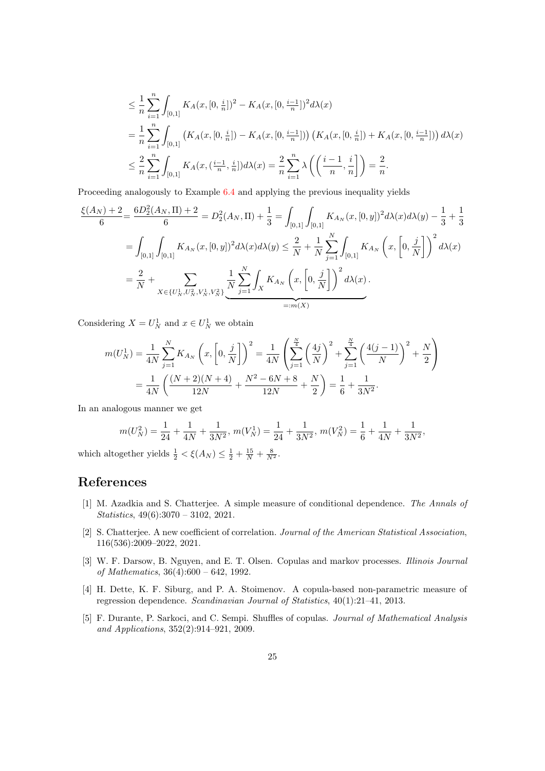$$
\leq \frac{1}{n} \sum_{i=1}^{n} \int_{[0,1]} K_A(x, [0, \frac{i}{n}])^2 - K_A(x, [0, \frac{i-1}{n}])^2 d\lambda(x)
$$
  
=  $\frac{1}{n} \sum_{i=1}^{n} \int_{[0,1]} \left( K_A(x, [0, \frac{i}{n}]) - K_A(x, [0, \frac{i-1}{n}]) \right) \left( K_A(x, [0, \frac{i}{n}]) + K_A(x, [0, \frac{i-1}{n}]) \right) d\lambda(x)$   
 $\leq \frac{2}{n} \sum_{i=1}^{n} \int_{[0,1]} K_A(x, (\frac{i-1}{n}, \frac{i}{n}]) d\lambda(x) = \frac{2}{n} \sum_{i=1}^{n} \lambda \left( \left( \frac{i-1}{n}, \frac{i}{n} \right) \right) = \frac{2}{n}.$ 

Proceeding analogously to Example [6.4](#page-19-0) and applying the previous inequality yields

$$
\frac{\xi(A_N) + 2}{6} = \frac{6D_2^2(A_N, \Pi) + 2}{6} = D_2^2(A_N, \Pi) + \frac{1}{3} = \int_{[0,1]} \int_{[0,1]} K_{A_N}(x, [0, y])^2 d\lambda(x) d\lambda(y) - \frac{1}{3} + \frac{1}{3}
$$

$$
= \int_{[0,1]} \int_{[0,1]} K_{A_N}(x, [0, y])^2 d\lambda(x) d\lambda(y) \le \frac{2}{N} + \frac{1}{N} \sum_{j=1}^N \int_{[0,1]} K_{A_N}\left(x, \left[0, \frac{j}{N}\right]\right)^2 d\lambda(x)
$$

$$
= \frac{2}{N} + \sum_{X \in \{U_N^1, U_N^2, V_N^1, V_N^2\}} \underbrace{\frac{1}{N} \sum_{j=1}^N \int_X K_{A_N}\left(x, \left[0, \frac{j}{N}\right]\right)^2 d\lambda(x)}_{=:m(X)}.
$$

Considering  $X = U_N^1$  and  $x \in U_N^1$  we obtain

$$
m(U_N^1) = \frac{1}{4N} \sum_{j=1}^N K_{A_N} \left( x, \left[ 0, \frac{j}{N} \right] \right)^2 = \frac{1}{4N} \left( \sum_{j=1}^{\frac{N}{4}} \left( \frac{4j}{N} \right)^2 + \sum_{j=1}^{\frac{N}{4}} \left( \frac{4(j-1)}{N} \right)^2 + \frac{N}{2} \right)
$$
  
=  $\frac{1}{4N} \left( \frac{(N+2)(N+4)}{12N} + \frac{N^2 - 6N + 8}{12N} + \frac{N}{2} \right) = \frac{1}{6} + \frac{1}{3N^2}.$ 

In an analogous manner we get

$$
m(U_N^2) = \frac{1}{24} + \frac{1}{4N} + \frac{1}{3N^2}, \ m(V_N^1) = \frac{1}{24} + \frac{1}{3N^2}, \ m(V_N^2) = \frac{1}{6} + \frac{1}{4N} + \frac{1}{3N^2},
$$

which altogether yields  $\frac{1}{2} < \xi(A_N) \leq \frac{1}{2} + \frac{15}{N} + \frac{8}{N^2}$ .

#### References

- <span id="page-24-3"></span>[1] M. Azadkia and S. Chatterjee. A simple measure of conditional dependence. The Annals of Statistics, 49(6):3070 – 3102, 2021.
- <span id="page-24-2"></span>[2] S. Chatterjee. A new coefficient of correlation. Journal of the American Statistical Association, 116(536):2009–2022, 2021.
- <span id="page-24-0"></span>[3] W. F. Darsow, B. Nguyen, and E. T. Olsen. Copulas and markov processes. Illinois Journal of Mathematics, 36(4):600 – 642, 1992.
- <span id="page-24-1"></span>[4] H. Dette, K. F. Siburg, and P. A. Stoimenov. A copula-based non-parametric measure of regression dependence. Scandinavian Journal of Statistics, 40(1):21–41, 2013.
- <span id="page-24-4"></span>[5] F. Durante, P. Sarkoci, and C. Sempi. Shuffles of copulas. Journal of Mathematical Analysis and Applications, 352(2):914–921, 2009.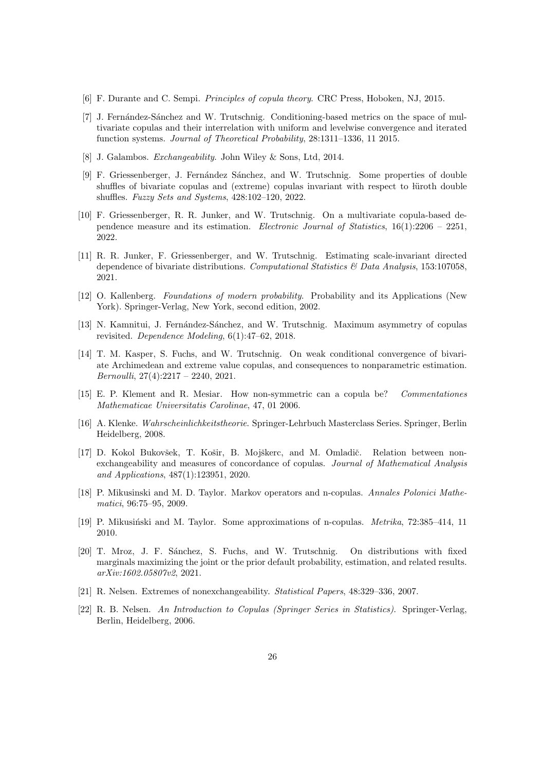- <span id="page-25-8"></span>[6] F. Durante and C. Sempi. Principles of copula theory. CRC Press, Hoboken, NJ, 2015.
- <span id="page-25-14"></span>[7] J. Fernández-Sánchez and W. Trutschnig. Conditioning-based metrics on the space of multivariate copulas and their interrelation with uniform and levelwise convergence and iterated function systems. Journal of Theoretical Probability, 28:1311–1336, 11 2015.
- <span id="page-25-0"></span>[8] J. Galambos. Exchangeability. John Wiley & Sons, Ltd, 2014.
- <span id="page-25-15"></span>[9] F. Griessenberger, J. Fernández Sánchez, and W. Trutschnig. Some properties of double shuffles of bivariate copulas and (extreme) copulas invariant with respect to luroth double shuffles. Fuzzy Sets and Systems, 428:102–120, 2022.
- <span id="page-25-6"></span>[10] F. Griessenberger, R. R. Junker, and W. Trutschnig. On a multivariate copula-based dependence measure and its estimation. Electronic Journal of Statistics,  $16(1):2206 - 2251$ , 2022.
- <span id="page-25-5"></span>[11] R. R. Junker, F. Griessenberger, and W. Trutschnig. Estimating scale-invariant directed dependence of bivariate distributions. Computational Statistics  $\mathcal{B}$  Data Analysis, 153:107058, 2021.
- <span id="page-25-10"></span>[12] O. Kallenberg. Foundations of modern probability. Probability and its Applications (New York). Springer-Verlag, New York, second edition, 2002.
- <span id="page-25-4"></span>[13] N. Kamnitui, J. Fernández-Sánchez, and W. Trutschnig. Maximum asymmetry of copulas revisited. Dependence Modeling, 6(1):47–62, 2018.
- <span id="page-25-7"></span>[14] T. M. Kasper, S. Fuchs, and W. Trutschnig. On weak conditional convergence of bivariate Archimedean and extreme value copulas, and consequences to nonparametric estimation. Bernoulli, 27(4):2217 – 2240, 2021.
- <span id="page-25-2"></span>[15] E. P. Klement and R. Mesiar. How non-symmetric can a copula be? Commentationes Mathematicae Universitatis Carolinae, 47, 01 2006.
- <span id="page-25-11"></span>[16] A. Klenke. Wahrscheinlichkeitstheorie. Springer-Lehrbuch Masterclass Series. Springer, Berlin Heidelberg, 2008.
- <span id="page-25-3"></span>[17] D. Kokol Bukovšek, T. Košir, B. Mojškerc, and M. Omladič. Relation between nonexchangeability and measures of concordance of copulas. Journal of Mathematical Analysis and Applications, 487(1):123951, 2020.
- <span id="page-25-12"></span>[18] P. Mikusinski and M. D. Taylor. Markov operators and n-copulas. Annales Polonici Mathematici, 96:75–95, 2009.
- <span id="page-25-13"></span>[19] P. Mikusiński and M. Taylor. Some approximations of n-copulas. *Metrika*, 72:385–414, 11 2010.
- <span id="page-25-16"></span>[20] T. Mroz, J. F. S´anchez, S. Fuchs, and W. Trutschnig. On distributions with fixed marginals maximizing the joint or the prior default probability, estimation, and related results. arXiv:1602.05807v2, 2021.
- <span id="page-25-1"></span>[21] R. Nelsen. Extremes of nonexchangeability. Statistical Papers, 48:329–336, 2007.
- <span id="page-25-9"></span>[22] R. B. Nelsen. An Introduction to Copulas (Springer Series in Statistics). Springer-Verlag, Berlin, Heidelberg, 2006.